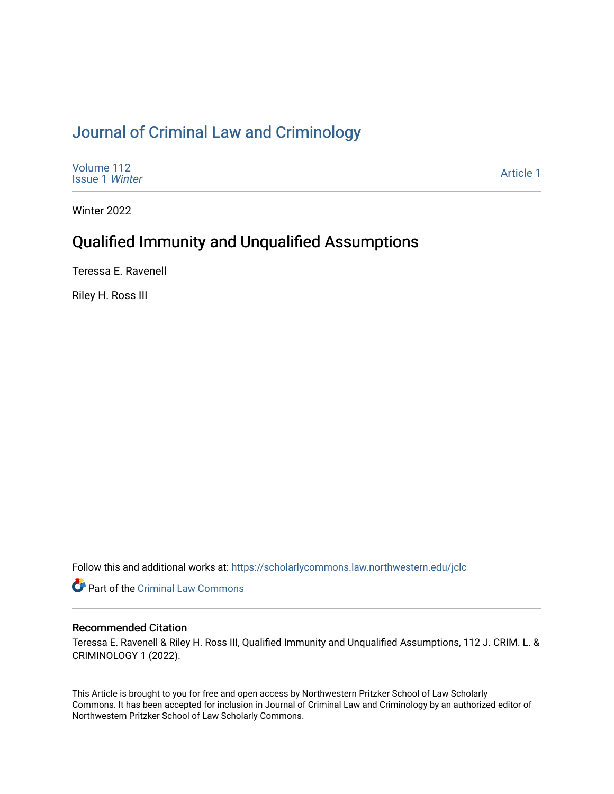# [Journal of Criminal Law and Criminology](https://scholarlycommons.law.northwestern.edu/jclc)

| Volume 112<br><b>Issue 1 Winter</b> | Article 1 |
|-------------------------------------|-----------|
|-------------------------------------|-----------|

Winter 2022

# Qualified Immunity and Unqualified Assumptions

Teressa E. Ravenell

Riley H. Ross III

Follow this and additional works at: [https://scholarlycommons.law.northwestern.edu/jclc](https://scholarlycommons.law.northwestern.edu/jclc?utm_source=scholarlycommons.law.northwestern.edu%2Fjclc%2Fvol112%2Fiss1%2F1&utm_medium=PDF&utm_campaign=PDFCoverPages) 

Part of the [Criminal Law Commons](http://network.bepress.com/hgg/discipline/912?utm_source=scholarlycommons.law.northwestern.edu%2Fjclc%2Fvol112%2Fiss1%2F1&utm_medium=PDF&utm_campaign=PDFCoverPages) 

## Recommended Citation

Teressa E. Ravenell & Riley H. Ross III, Qualified Immunity and Unqualified Assumptions, 112 J. CRIM. L. & CRIMINOLOGY 1 (2022).

This Article is brought to you for free and open access by Northwestern Pritzker School of Law Scholarly Commons. It has been accepted for inclusion in Journal of Criminal Law and Criminology by an authorized editor of Northwestern Pritzker School of Law Scholarly Commons.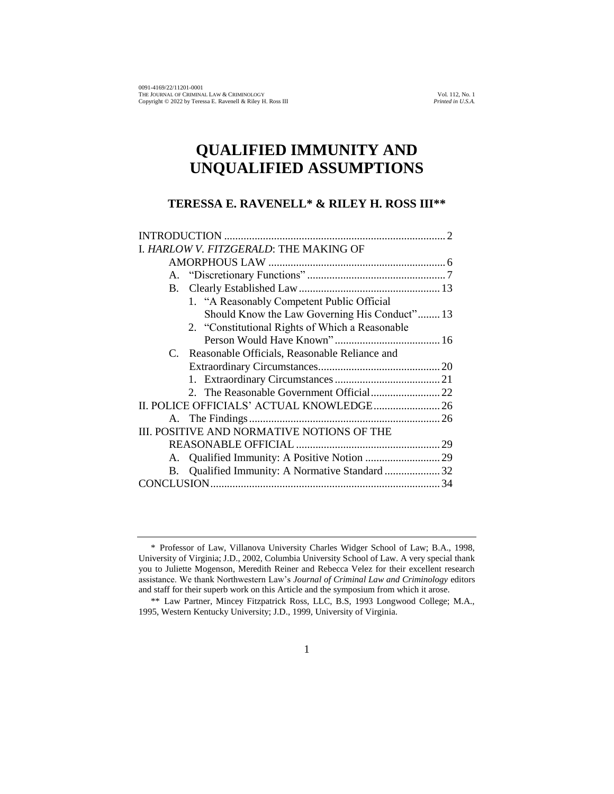# **QUALIFIED IMMUNITY AND UNQUALIFIED ASSUMPTIONS**

## **TERESSA E. RAVENELL\* & RILEY H. ROSS III\*\***

| I. HARLOW V. FITZGERALD: THE MAKING OF             |
|----------------------------------------------------|
|                                                    |
|                                                    |
| <b>B.</b>                                          |
| 1. "A Reasonably Competent Public Official         |
| Should Know the Law Governing His Conduct" 13      |
| 2. "Constitutional Rights of Which a Reasonable    |
|                                                    |
| C. Reasonable Officials, Reasonable Reliance and   |
|                                                    |
|                                                    |
|                                                    |
|                                                    |
|                                                    |
| III. POSITIVE AND NORMATIVE NOTIONS OF THE         |
|                                                    |
|                                                    |
| Qualified Immunity: A Normative Standard  32<br>В. |
|                                                    |

<sup>\*</sup> Professor of Law, Villanova University Charles Widger School of Law; B.A., 1998, University of Virginia; J.D., 2002, Columbia University School of Law. A very special thank you to Juliette Mogenson, Meredith Reiner and Rebecca Velez for their excellent research assistance. We thank Northwestern Law's *Journal of Criminal Law and Criminology* editors and staff for their superb work on this Article and the symposium from which it arose.

<sup>\*\*</sup> Law Partner, Mincey Fitzpatrick Ross, LLC, B.S, 1993 Longwood College; M.A., 1995, Western Kentucky University; J.D., 1999, University of Virginia.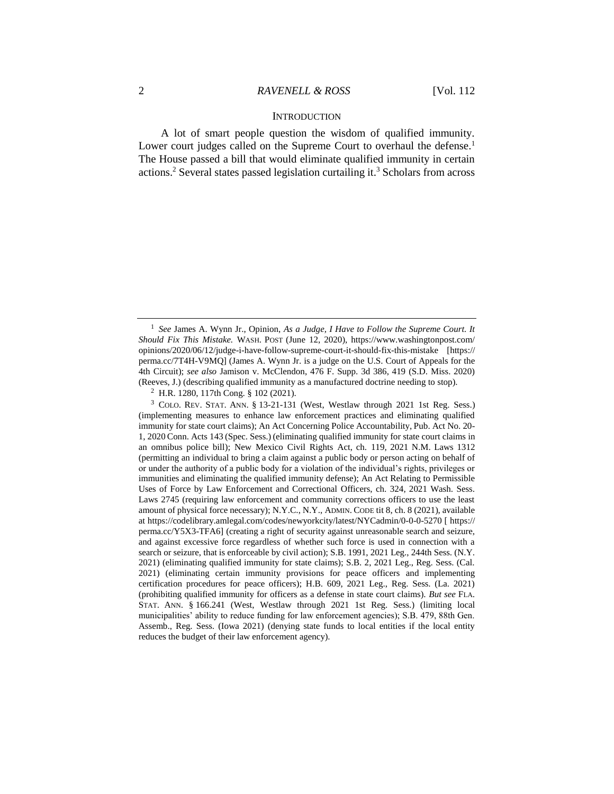#### **INTRODUCTION**

A lot of smart people question the wisdom of qualified immunity. Lower court judges called on the Supreme Court to overhaul the defense.<sup>1</sup> The House passed a bill that would eliminate qualified immunity in certain actions.<sup>2</sup> Several states passed legislation curtailing it.<sup>3</sup> Scholars from across

<sup>&</sup>lt;sup>1</sup> See James A. Wynn Jr., Opinion, As a Judge, I Have to Follow the Supreme Court. It *Should Fix This Mistake.* WASH. POST (June 12, 2020), https://www.washingtonpost.com/ opinions/2020/06/12/judge-i-have-follow-supreme-court-it-should-fix-this-mistake [https:// perma.cc/7T4H-V9MQ] (James A. Wynn Jr. is a judge on the U.S. Court of Appeals for the 4th Circuit); *see also* Jamison v. McClendon, 476 F. Supp. 3d 386, 419 (S.D. Miss. 2020) (Reeves, J.) (describing qualified immunity as a manufactured doctrine needing to stop).

<sup>2</sup> H.R. 1280, 117th Cong. § 102 (2021).

 $3$  COLO. REV. STAT. ANN. § 13-21-131 (West, Westlaw through 2021 1st Reg. Sess.) (implementing measures to enhance law enforcement practices and eliminating qualified immunity for state court claims); An Act Concerning Police Accountability, Pub. Act No. 20- 1, 2020 Conn. Acts 143 (Spec. Sess.) (eliminating qualified immunity for state court claims in an omnibus police bill); New Mexico Civil Rights Act, ch. 119, 2021 N.M. Laws 1312 (permitting an individual to bring a claim against a public body or person acting on behalf of or under the authority of a public body for a violation of the individual's rights, privileges or immunities and eliminating the qualified immunity defense); An Act Relating to Permissible Uses of Force by Law Enforcement and Correctional Officers, ch. 324, 2021 Wash. Sess. Laws 2745 (requiring law enforcement and community corrections officers to use the least amount of physical force necessary); N.Y.C., N.Y., ADMIN. CODE tit 8, ch. 8 (2021), available at https://codelibrary.amlegal.com/codes/newyorkcity/latest/NYCadmin/0-0-0-5270 [ https:// perma.cc/Y5X3-TFA6] (creating a right of security against unreasonable search and seizure, and against excessive force regardless of whether such force is used in connection with a search or seizure, that is enforceable by civil action); S.B. 1991, 2021 Leg., 244th Sess. (N.Y. 2021) (eliminating qualified immunity for state claims); S.B. 2, 2021 Leg., Reg. Sess. (Cal. 2021) (eliminating certain immunity provisions for peace officers and implementing certification procedures for peace officers); H.B. 609, 2021 Leg., Reg. Sess. (La. 2021) (prohibiting qualified immunity for officers as a defense in state court claims). *But see* FLA. STAT. ANN. § 166.241 (West, Westlaw through 2021 1st Reg. Sess.) (limiting local municipalities' ability to reduce funding for law enforcement agencies); S.B. 479, 88th Gen. Assemb., Reg. Sess. (Iowa 2021) (denying state funds to local entities if the local entity reduces the budget of their law enforcement agency).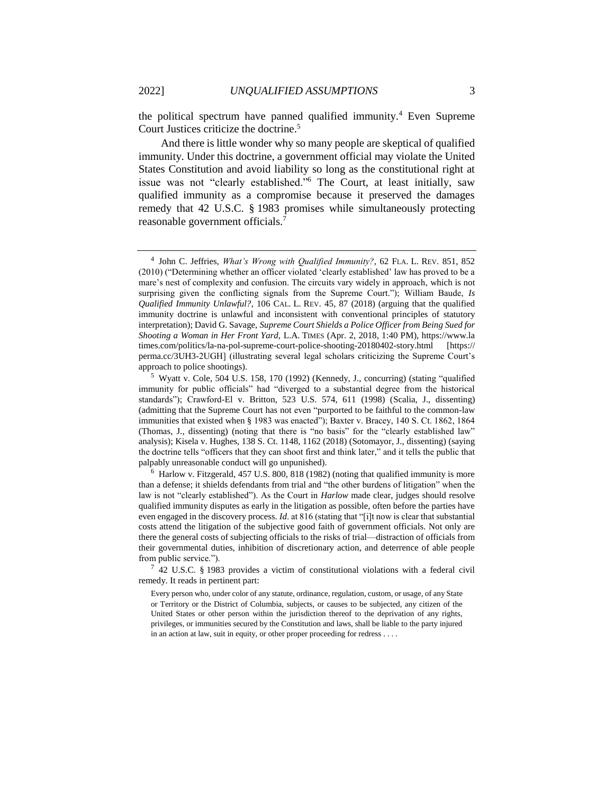the political spectrum have panned qualified immunity.<sup>4</sup> Even Supreme Court Justices criticize the doctrine.<sup>5</sup>

And there is little wonder why so many people are skeptical of qualified immunity. Under this doctrine, a government official may violate the United States Constitution and avoid liability so long as the constitutional right at issue was not "clearly established."<sup>6</sup> The Court, at least initially, saw qualified immunity as a compromise because it preserved the damages remedy that 42 U.S.C. § 1983 promises while simultaneously protecting reasonable government officials.<sup>7</sup>

<sup>4</sup> John C. Jeffries, *What's Wrong with Qualified Immunity?*, 62 FLA. L. REV. 851, 852 (2010) ("Determining whether an officer violated 'clearly established' law has proved to be a mare's nest of complexity and confusion. The circuits vary widely in approach, which is not surprising given the conflicting signals from the Supreme Court."); William Baude, *Is Qualified Immunity Unlawful?*, 106 CAL. L. REV. 45, 87 (2018) (arguing that the qualified immunity doctrine is unlawful and inconsistent with conventional principles of statutory interpretation); David G. Savage, *Supreme Court Shields a Police Officer from Being Sued for Shooting a Woman in Her Front Yard,* L.A. TIMES (Apr. 2, 2018, 1:40 PM), https://www.la times.com/politics/la-na-pol-supreme-court-police-shooting-20180402-story.html [https:// perma.cc/3UH3-2UGH] (illustrating several legal scholars criticizing the Supreme Court's approach to police shootings).

<sup>5</sup> Wyatt v. Cole, 504 U.S. 158, 170 (1992) (Kennedy, J., concurring) (stating "qualified immunity for public officials" had "diverged to a substantial degree from the historical standards"); Crawford-El v. Britton, 523 U.S. 574, 611 (1998) (Scalia, J., dissenting) (admitting that the Supreme Court has not even "purported to be faithful to the common-law immunities that existed when § 1983 was enacted"); Baxter v. Bracey, 140 S. Ct. 1862, 1864 (Thomas, J., dissenting) (noting that there is "no basis" for the "clearly established law" analysis); Kisela v. Hughes, 138 S. Ct. 1148, 1162 (2018) (Sotomayor, J., dissenting) (saying the doctrine tells "officers that they can shoot first and think later," and it tells the public that palpably unreasonable conduct will go unpunished).

 $6$  Harlow v. Fitzgerald, 457 U.S. 800, 818 (1982) (noting that qualified immunity is more than a defense; it shields defendants from trial and "the other burdens of litigation" when the law is not "clearly established"). As the Court in *Harlow* made clear, judges should resolve qualified immunity disputes as early in the litigation as possible, often before the parties have even engaged in the discovery process. *Id.* at 816 (stating that "[i]t now is clear that substantial costs attend the litigation of the subjective good faith of government officials. Not only are there the general costs of subjecting officials to the risks of trial—distraction of officials from their governmental duties, inhibition of discretionary action, and deterrence of able people from public service.").

<sup>7</sup> 42 U.S.C. § 1983 provides a victim of constitutional violations with a federal civil remedy. It reads in pertinent part:

Every person who, under color of any statute, ordinance, regulation, custom, or usage, of any State or Territory or the District of Columbia, subjects, or causes to be subjected, any citizen of the United States or other person within the jurisdiction thereof to the deprivation of any rights, privileges, or immunities secured by the Constitution and laws, shall be liable to the party injured in an action at law, suit in equity, or other proper proceeding for redress . . . .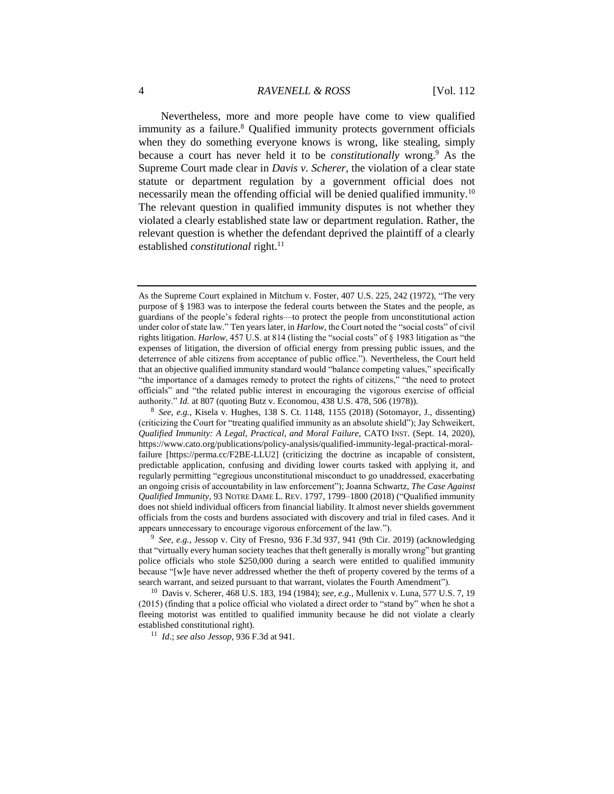Nevertheless, more and more people have come to view qualified immunity as a failure.<sup>8</sup> Qualified immunity protects government officials when they do something everyone knows is wrong, like stealing, simply because a court has never held it to be *constitutionally* wrong.<sup>9</sup> As the Supreme Court made clear in *Davis v. Scherer*, the violation of a clear state statute or department regulation by a government official does not necessarily mean the offending official will be denied qualified immunity.<sup>10</sup> The relevant question in qualified immunity disputes is not whether they violated a clearly established state law or department regulation. Rather, the relevant question is whether the defendant deprived the plaintiff of a clearly established *constitutional* right.<sup>11</sup>

8 *See, e.g.*, Kisela v. Hughes, 138 S. Ct. 1148, 1155 (2018) (Sotomayor, J., dissenting) (criticizing the Court for "treating qualified immunity as an absolute shield"); Jay Schweikert, *Qualified Immunity: A Legal, Practical, and Moral Failure,* CATO INST. (Sept. 14, 2020), https://www.cato.org/publications/policy-analysis/qualified-immunity-legal-practical-moralfailure [https://perma.cc/F2BE-LLU2] (criticizing the doctrine as incapable of consistent, predictable application, confusing and dividing lower courts tasked with applying it, and regularly permitting "egregious unconstitutional misconduct to go unaddressed, exacerbating an ongoing crisis of accountability in law enforcement"); Joanna Schwartz, *The Case Against Qualified Immunity*, 93 NOTRE DAME L. REV. 1797, 1799–1800 (2018) ("Qualified immunity does not shield individual officers from financial liability. It almost never shields government officials from the costs and burdens associated with discovery and trial in filed cases. And it appears unnecessary to encourage vigorous enforcement of the law.").

9 *See, e.g.*, Jessop v. City of Fresno, 936 F.3d 937, 941 (9th Cir. 2019) (acknowledging that "virtually every human society teaches that theft generally is morally wrong" but granting police officials who stole \$250,000 during a search were entitled to qualified immunity because "[w]e have never addressed whether the theft of property covered by the terms of a search warrant, and seized pursuant to that warrant, violates the Fourth Amendment").

<sup>10</sup> Davis v. Scherer, 468 U.S. 183, 194 (1984); *see, e.g.*, Mullenix v. Luna, 577 U.S. 7, 19 (2015) (finding that a police official who violated a direct order to "stand by" when he shot a fleeing motorist was entitled to qualified immunity because he did not violate a clearly established constitutional right).

<sup>11</sup> *Id*.; *see also Jessop*, 936 F.3d at 941.

As the Supreme Court explained in Mitchum v. Foster, 407 U.S. 225, 242 (1972), "The very purpose of § 1983 was to interpose the federal courts between the States and the people, as guardians of the people's federal rights—to protect the people from unconstitutional action under color of state law." Ten years later, in *Harlow*, the Court noted the "social costs" of civil rights litigation. *Harlow*, 457 U.S. at 814 (listing the "social costs" of § 1983 litigation as "the expenses of litigation, the diversion of official energy from pressing public issues, and the deterrence of able citizens from acceptance of public office."). Nevertheless, the Court held that an objective qualified immunity standard would "balance competing values," specifically "the importance of a damages remedy to protect the rights of citizens," "the need to protect officials" and "the related public interest in encouraging the vigorous exercise of official authority." *Id.* at 807 (quoting Butz v. Economou, 438 U.S. 478, 506 (1978)).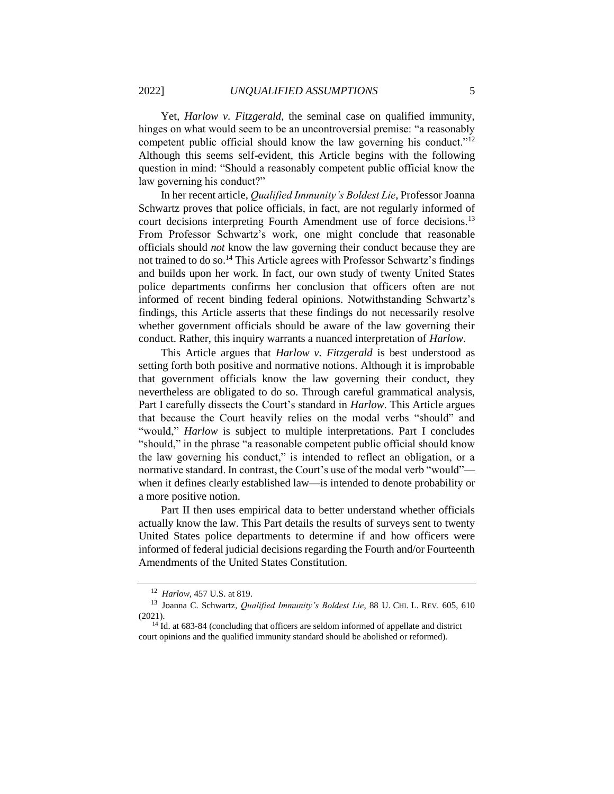Yet, *Harlow v. Fitzgerald*, the seminal case on qualified immunity, hinges on what would seem to be an uncontroversial premise: "a reasonably competent public official should know the law governing his conduct."<sup>12</sup> Although this seems self-evident, this Article begins with the following question in mind: "Should a reasonably competent public official know the law governing his conduct?"

In her recent article, *Qualified Immunity's Boldest Lie*, Professor Joanna Schwartz proves that police officials, in fact, are not regularly informed of court decisions interpreting Fourth Amendment use of force decisions.<sup>13</sup> From Professor Schwartz's work, one might conclude that reasonable officials should *not* know the law governing their conduct because they are not trained to do so.<sup>14</sup> This Article agrees with Professor Schwartz's findings and builds upon her work. In fact, our own study of twenty United States police departments confirms her conclusion that officers often are not informed of recent binding federal opinions. Notwithstanding Schwartz's findings, this Article asserts that these findings do not necessarily resolve whether government officials should be aware of the law governing their conduct. Rather, this inquiry warrants a nuanced interpretation of *Harlow*.

This Article argues that *Harlow v. Fitzgerald* is best understood as setting forth both positive and normative notions. Although it is improbable that government officials know the law governing their conduct, they nevertheless are obligated to do so. Through careful grammatical analysis, Part I carefully dissects the Court's standard in *Harlow*. This Article argues that because the Court heavily relies on the modal verbs "should" and "would," *Harlow* is subject to multiple interpretations. Part I concludes "should," in the phrase "a reasonable competent public official should know the law governing his conduct," is intended to reflect an obligation, or a normative standard. In contrast, the Court's use of the modal verb "would" when it defines clearly established law—is intended to denote probability or a more positive notion.

Part II then uses empirical data to better understand whether officials actually know the law. This Part details the results of surveys sent to twenty United States police departments to determine if and how officers were informed of federal judicial decisions regarding the Fourth and/or Fourteenth Amendments of the United States Constitution.

<sup>12</sup> *Harlow*, 457 U.S. at 819.

<sup>13</sup> Joanna C. Schwartz, *Qualified Immunity's Boldest Lie*, 88 U. CHI. L. REV. 605, 610 (2021).

<sup>&</sup>lt;sup>14</sup> Id. at 683-84 (concluding that officers are seldom informed of appellate and district court opinions and the qualified immunity standard should be abolished or reformed).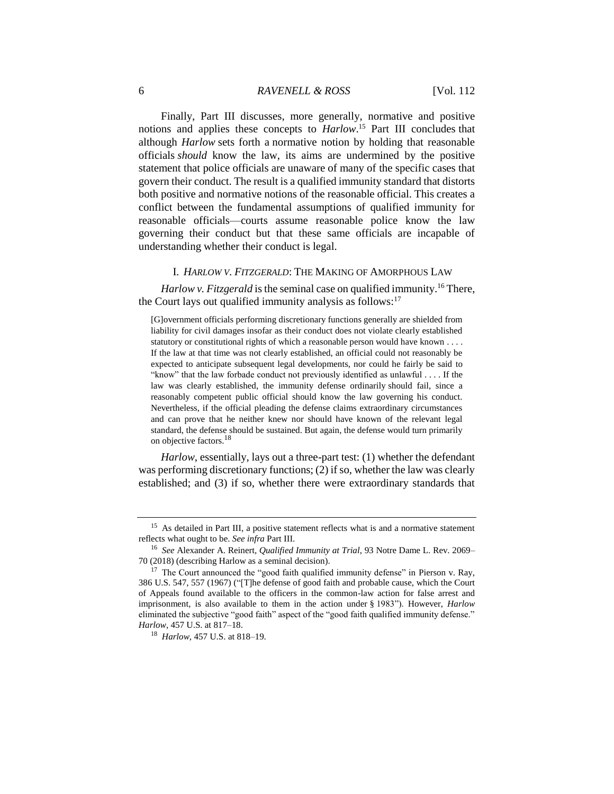Finally, Part III discusses, more generally, normative and positive notions and applies these concepts to *Harlow*. <sup>15</sup> Part III concludes that although *Harlow* sets forth a normative notion by holding that reasonable officials *should* know the law, its aims are undermined by the positive statement that police officials are unaware of many of the specific cases that govern their conduct. The result is a qualified immunity standard that distorts both positive and normative notions of the reasonable official. This creates a conflict between the fundamental assumptions of qualified immunity for reasonable officials—courts assume reasonable police know the law governing their conduct but that these same officials are incapable of understanding whether their conduct is legal.

#### I. *HARLOW V. FITZGERALD*: THE MAKING OF AMORPHOUS LAW

*Harlow v. Fitzgerald* is the seminal case on qualified immunity.<sup>16</sup> There, the Court lays out qualified immunity analysis as follows: $17$ 

[G]overnment officials performing discretionary functions generally are shielded from liability for civil damages insofar as their conduct does not violate clearly established statutory or constitutional rights of which a reasonable person would have known . . . . If the law at that time was not clearly established, an official could not reasonably be expected to anticipate subsequent legal developments, nor could he fairly be said to "know" that the law forbade conduct not previously identified as unlawful . . . . If the law was clearly established, the immunity defense ordinarily should fail, since a reasonably competent public official should know the law governing his conduct. Nevertheless, if the official pleading the defense claims extraordinary circumstances and can prove that he neither knew nor should have known of the relevant legal standard, the defense should be sustained. But again, the defense would turn primarily on objective factors.<sup>18</sup>

*Harlow*, essentially, lays out a three-part test: (1) whether the defendant was performing discretionary functions; (2) if so, whether the law was clearly established; and (3) if so, whether there were extraordinary standards that

<sup>&</sup>lt;sup>15</sup> As detailed in Part III, a positive statement reflects what is and a normative statement reflects what ought to be. *See infra* Part III.

<sup>16</sup> *See* Alexander A. Reinert, *Qualified Immunity at Trial*, 93 Notre Dame L. Rev. 2069– 70 (2018) (describing Harlow as a seminal decision).

 $17$  The Court announced the "good faith qualified immunity defense" in Pierson v. Ray, 386 U.S. 547, 557 (1967) ("[T]he defense of good faith and probable cause, which the Court of Appeals found available to the officers in the common-law action for false arrest and imprisonment, is also available to them in the action under § 1983"). However, *Harlow* eliminated the subjective "good faith" aspect of the "good faith qualified immunity defense." *Harlow*, 457 U.S. at 817–18.

<sup>18</sup> *Harlow*, 457 U.S. at 818–19.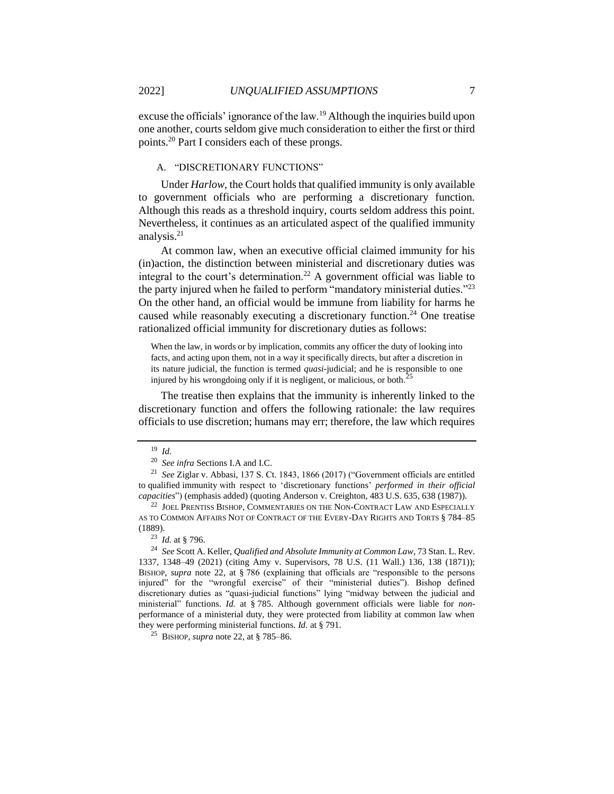excuse the officials' ignorance of the law.<sup>19</sup> Although the inquiries build upon one another, courts seldom give much consideration to either the first or third points.<sup>20</sup> Part I considers each of these prongs.

## A. "DISCRETIONARY FUNCTIONS"

Under *Harlow*, the Court holds that qualified immunity is only available to government officials who are performing a discretionary function. Although this reads as a threshold inquiry, courts seldom address this point. Nevertheless, it continues as an articulated aspect of the qualified immunity analysis.<sup>21</sup>

At common law, when an executive official claimed immunity for his (in)action, the distinction between ministerial and discretionary duties was integral to the court's determination.<sup>22</sup> A government official was liable to the party injured when he failed to perform "mandatory ministerial duties."<sup>23</sup> On the other hand, an official would be immune from liability for harms he caused while reasonably executing a discretionary function.<sup>24</sup> One treatise rationalized official immunity for discretionary duties as follows:

When the law, in words or by implication, commits any officer the duty of looking into facts, and acting upon them, not in a way it specifically directs, but after a discretion in its nature judicial, the function is termed *quasi*-judicial; and he is responsible to one injured by his wrongdoing only if it is negligent, or malicious, or both. $\hat{i}$ 

The treatise then explains that the immunity is inherently linked to the discretionary function and offers the following rationale: the law requires officials to use discretion; humans may err; therefore, the law which requires

<sup>19</sup> *Id.*

<sup>20</sup> *See infra* Sections I.A and I.C.

<sup>21</sup> *See* Ziglar v. Abbasi, 137 S. Ct. 1843, 1866 (2017) ("Government officials are entitled to qualified immunity with respect to 'discretionary functions' *performed in their official capacities*") (emphasis added) (quoting Anderson v. Creighton, 483 U.S. 635, 638 (1987)).

<sup>&</sup>lt;sup>22</sup> JOEL PRENTISS BISHOP, COMMENTARIES ON THE NON-CONTRACT LAW AND ESPECIALLY AS TO COMMON AFFAIRS NOT OF CONTRACT OF THE EVERY-DAY RIGHTS AND TORTS § 784–85 (1889).

<sup>23</sup> *Id.* at § 796.

<sup>24</sup> *See* Scott A. Keller, *Qualified and Absolute Immunity at Common Law*, 73 Stan. L. Rev. 1337, 1348–49 (2021) (citing Amy v. Supervisors, 78 U.S. (11 Wall.) 136, 138 (1871)); BISHOP, *supra* note 22, at § 786 (explaining that officials are "responsible to the persons injured" for the "wrongful exercise" of their "ministerial duties"). Bishop defined discretionary duties as "quasi-judicial functions" lying "midway between the judicial and ministerial" functions. *Id.* at § 785. Although government officials were liable for *non*performance of a ministerial duty, they were protected from liability at common law when they were performing ministerial functions. *Id.* at § 791.

<sup>25</sup> BISHOP, *supra* note 22, at § 785–86.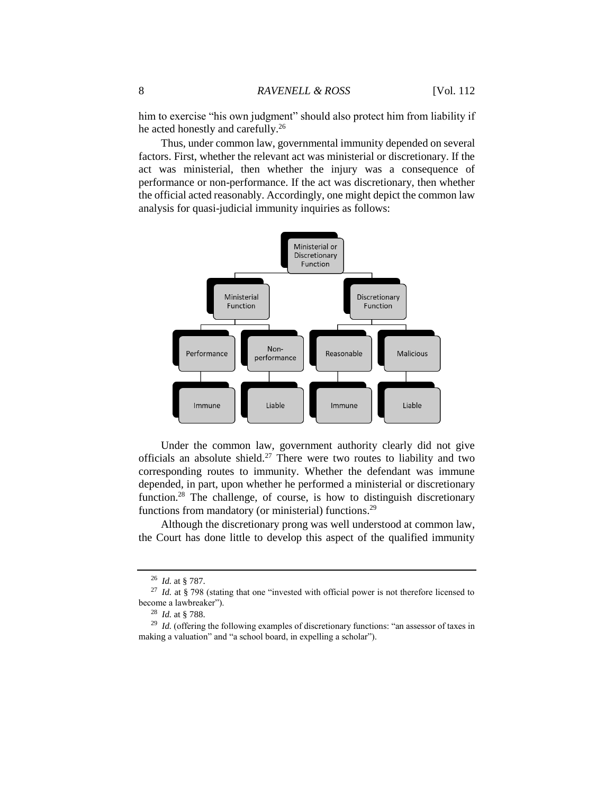him to exercise "his own judgment" should also protect him from liability if he acted honestly and carefully.<sup>26</sup>

Thus, under common law, governmental immunity depended on several factors. First, whether the relevant act was ministerial or discretionary. If the act was ministerial, then whether the injury was a consequence of performance or non-performance. If the act was discretionary, then whether the official acted reasonably. Accordingly, one might depict the common law analysis for quasi-judicial immunity inquiries as follows:



Under the common law, government authority clearly did not give officials an absolute shield.<sup>27</sup> There were two routes to liability and two corresponding routes to immunity. Whether the defendant was immune depended, in part, upon whether he performed a ministerial or discretionary function.<sup>28</sup> The challenge, of course, is how to distinguish discretionary functions from mandatory (or ministerial) functions.<sup>29</sup>

Although the discretionary prong was well understood at common law, the Court has done little to develop this aspect of the qualified immunity

<sup>26</sup> *Id.* at § 787.

<sup>27</sup> *Id.* at § 798 (stating that one "invested with official power is not therefore licensed to become a lawbreaker").

<sup>28</sup> *Id.* at § 788.

<sup>&</sup>lt;sup>29</sup> *Id.* (offering the following examples of discretionary functions: "an assessor of taxes in making a valuation" and "a school board, in expelling a scholar").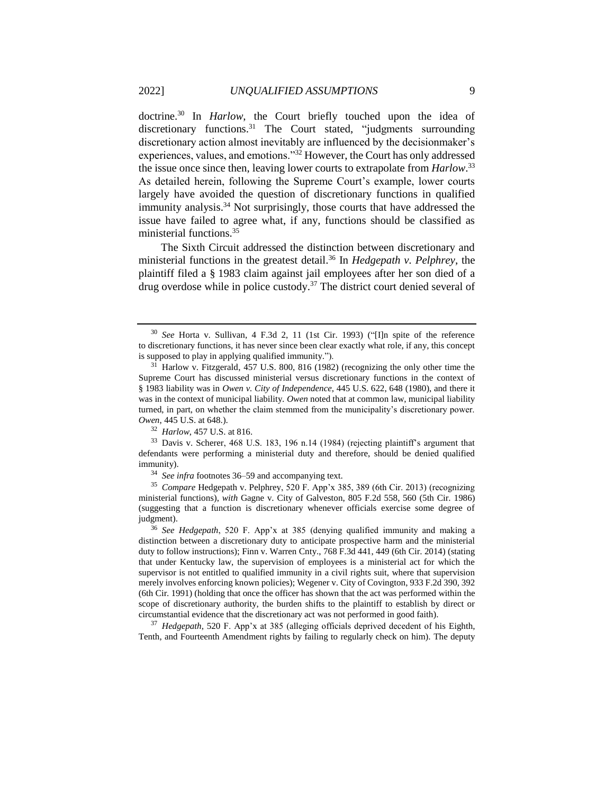doctrine.<sup>30</sup> In *Harlow*, the Court briefly touched upon the idea of discretionary functions.<sup>31</sup> The Court stated, "judgments surrounding discretionary action almost inevitably are influenced by the decisionmaker's experiences, values, and emotions."<sup>32</sup> However, the Court has only addressed the issue once since then, leaving lower courts to extrapolate from *Harlow*. 33 As detailed herein, following the Supreme Court's example, lower courts largely have avoided the question of discretionary functions in qualified immunity analysis. <sup>34</sup> Not surprisingly, those courts that have addressed the issue have failed to agree what, if any, functions should be classified as ministerial functions.<sup>35</sup>

The Sixth Circuit addressed the distinction between discretionary and ministerial functions in the greatest detail.<sup>36</sup> In *Hedgepath v. Pelphrey*, the plaintiff filed a § 1983 claim against jail employees after her son died of a drug overdose while in police custody.<sup>37</sup> The district court denied several of

<sup>30</sup> *See* Horta v. Sullivan, 4 F.3d 2, 11 (1st Cir. 1993) ("[I]n spite of the reference to discretionary functions, it has never since been clear exactly what role, if any, this concept is supposed to play in applying qualified immunity.").

 $31$  Harlow v. Fitzgerald, 457 U.S. 800, 816 (1982) (recognizing the only other time the Supreme Court has discussed ministerial versus discretionary functions in the context of § 1983 liability was in *Owen v. City of Independence*, 445 U.S. 622, 648 (1980), and there it was in the context of municipal liability. *Owen* noted that at common law, municipal liability turned, in part, on whether the claim stemmed from the municipality's discretionary power. *Owen*, 445 U.S. at 648.).

<sup>32</sup> *Harlow*, 457 U.S. at 816.

<sup>33</sup> Davis v. Scherer, 468 U.S. 183, 196 n.14 (1984) (rejecting plaintiff's argument that defendants were performing a ministerial duty and therefore, should be denied qualified immunity).

<sup>34</sup> *See infra* footnotes 36–59 and accompanying text.

<sup>35</sup> *Compare* Hedgepath v. Pelphrey, 520 F. App'x 385, 389 (6th Cir. 2013) (recognizing ministerial functions), *with* Gagne v. City of Galveston, 805 F.2d 558, 560 (5th Cir. 1986) (suggesting that a function is discretionary whenever officials exercise some degree of judgment).

<sup>36</sup> *See Hedgepath*, 520 F. App'x at 385 (denying qualified immunity and making a distinction between a discretionary duty to anticipate prospective harm and the ministerial duty to follow instructions); Finn v. Warren Cnty., 768 F.3d 441, 449 (6th Cir. 2014) (stating that under Kentucky law, the supervision of employees is a ministerial act for which the supervisor is not entitled to qualified immunity in a civil rights suit, where that supervision merely involves enforcing known policies); Wegener v. City of Covington, 933 F.2d 390, 392 (6th Cir. 1991) (holding that once the officer has shown that the act was performed within the scope of discretionary authority, the burden shifts to the plaintiff to establish by direct or circumstantial evidence that the discretionary act was not performed in good faith).

<sup>37</sup> *Hedgepath*, 520 F. App'x at 385 (alleging officials deprived decedent of his Eighth, Tenth, and Fourteenth Amendment rights by failing to regularly check on him). The deputy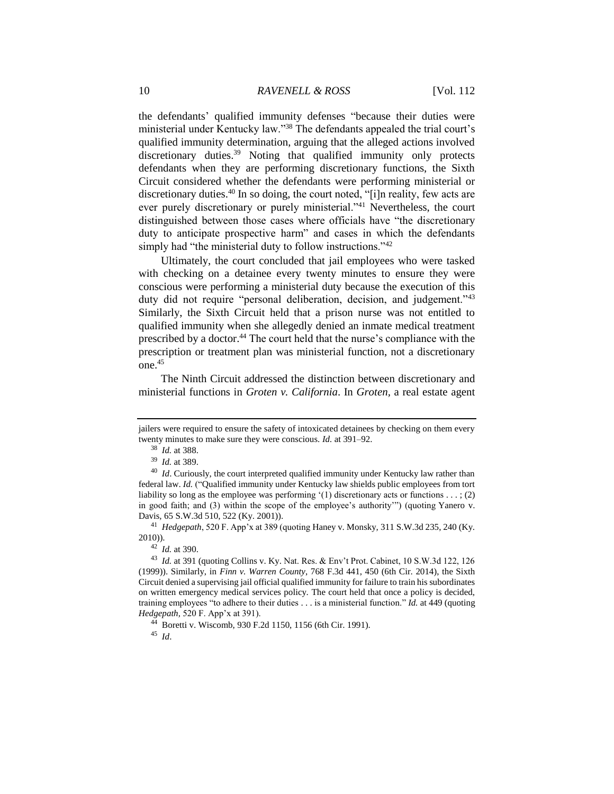the defendants' qualified immunity defenses "because their duties were ministerial under Kentucky law."<sup>38</sup> The defendants appealed the trial court's qualified immunity determination, arguing that the alleged actions involved discretionary duties.<sup>39</sup> Noting that qualified immunity only protects defendants when they are performing discretionary functions, the Sixth Circuit considered whether the defendants were performing ministerial or discretionary duties.<sup>40</sup> In so doing, the court noted, "[i]n reality, few acts are ever purely discretionary or purely ministerial."<sup>41</sup> Nevertheless, the court distinguished between those cases where officials have "the discretionary duty to anticipate prospective harm" and cases in which the defendants simply had "the ministerial duty to follow instructions."<sup>42</sup>

Ultimately, the court concluded that jail employees who were tasked with checking on a detainee every twenty minutes to ensure they were conscious were performing a ministerial duty because the execution of this duty did not require "personal deliberation, decision, and judgement."<sup>43</sup> Similarly, the Sixth Circuit held that a prison nurse was not entitled to qualified immunity when she allegedly denied an inmate medical treatment prescribed by a doctor.<sup>44</sup> The court held that the nurse's compliance with the prescription or treatment plan was ministerial function, not a discretionary  $one<sup>45</sup>$ 

The Ninth Circuit addressed the distinction between discretionary and ministerial functions in *Groten v. California*. In *Groten,* a real estate agent

jailers were required to ensure the safety of intoxicated detainees by checking on them every twenty minutes to make sure they were conscious. *Id.* at 391–92.

<sup>38</sup> *Id.* at 388.

<sup>39</sup> *Id.* at 389.

<sup>&</sup>lt;sup>40</sup> *Id*. Curiously, the court interpreted qualified immunity under Kentucky law rather than federal law. *Id.* ("Qualified immunity under Kentucky law shields public employees from tort liability so long as the employee was performing  $(1)$  discretionary acts or functions . . . ; (2) in good faith; and (3) within the scope of the employee's authority'") (quoting Yanero v. Davis*,* 65 S.W.3d 510, 522 (Ky. 2001)).

<sup>41</sup> *Hedgepath*, 520 F. App'x at 389 (quoting Haney v. Monsky*,* 311 S.W.3d 235, 240 (Ky. 2010)).

<sup>42</sup> *Id.* at 390.

<sup>43</sup> *Id.* at 391 (quoting Collins v. Ky. Nat. Res. & Env't Prot. Cabinet, 10 S.W.3d 122, 126 (1999)). Similarly, in *Finn v. Warren County*, 768 F.3d 441, 450 (6th Cir. 2014), the Sixth Circuit denied a supervising jail official qualified immunity for failure to train his subordinates on written emergency medical services policy. The court held that once a policy is decided, training employees "to adhere to their duties . . . is a ministerial function." *Id.* at 449 (quoting *Hedgepath,* 520 F. App'x at 391).

<sup>44</sup> Boretti v. Wiscomb, 930 F.2d 1150, 1156 (6th Cir. 1991).

<sup>45</sup> *Id*.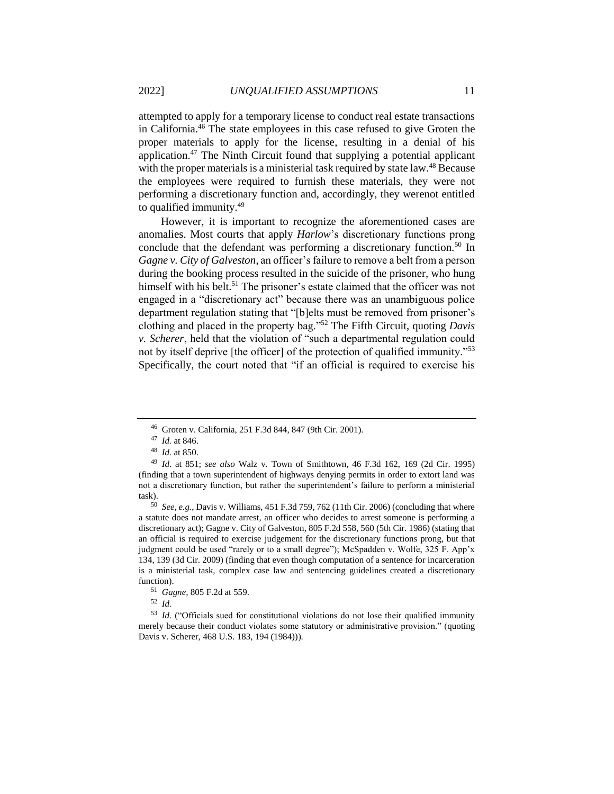attempted to apply for a temporary license to conduct real estate transactions in California.<sup>46</sup> The state employees in this case refused to give Groten the proper materials to apply for the license, resulting in a denial of his application.<sup>47</sup> The Ninth Circuit found that supplying a potential applicant with the proper materials is a ministerial task required by state law.<sup>48</sup> Because the employees were required to furnish these materials, they were not performing a discretionary function and, accordingly, they werenot entitled to qualified immunity.<sup>49</sup>

However, it is important to recognize the aforementioned cases are anomalies. Most courts that apply *Harlow*'s discretionary functions prong conclude that the defendant was performing a discretionary function.<sup>50</sup> In *Gagne v. City of Galveston*, an officer's failure to remove a belt from a person during the booking process resulted in the suicide of the prisoner, who hung himself with his belt.<sup>51</sup> The prisoner's estate claimed that the officer was not engaged in a "discretionary act" because there was an unambiguous police department regulation stating that "[b]elts must be removed from prisoner's clothing and placed in the property bag."<sup>52</sup> The Fifth Circuit, quoting *Davis v. Scherer*, held that the violation of "such a departmental regulation could not by itself deprive [the officer] of the protection of qualified immunity."<sup>53</sup> Specifically, the court noted that "if an official is required to exercise his

<sup>52</sup> *Id.*

<sup>46</sup> Groten v. California, 251 F.3d 844, 847 (9th Cir. 2001).

<sup>47</sup> *Id.* at 846.

<sup>48</sup> *Id.* at 850.

<sup>49</sup> *Id.* at 851; *see also* Walz v. Town of Smithtown, 46 F.3d 162, 169 (2d Cir. 1995) (finding that a town superintendent of highways denying permits in order to extort land was not a discretionary function, but rather the superintendent's failure to perform a ministerial task).

<sup>50</sup> *See, e.g.*, Davis v. Williams, 451 F.3d 759, 762 (11th Cir. 2006) (concluding that where a statute does not mandate arrest, an officer who decides to arrest someone is performing a discretionary act); Gagne v. City of Galveston, 805 F.2d 558, 560 (5th Cir. 1986) (stating that an official is required to exercise judgement for the discretionary functions prong, but that judgment could be used "rarely or to a small degree"); McSpadden v. Wolfe, 325 F. App'x 134, 139 (3d Cir. 2009) (finding that even though computation of a sentence for incarceration is a ministerial task, complex case law and sentencing guidelines created a discretionary function).

<sup>51</sup> *Gagne,* 805 F.2d at 559.

<sup>53</sup> *Id.* ("Officials sued for constitutional violations do not lose their qualified immunity merely because their conduct violates some statutory or administrative provision." (quoting Davis v. Scherer, 468 U.S. 183, 194 (1984))).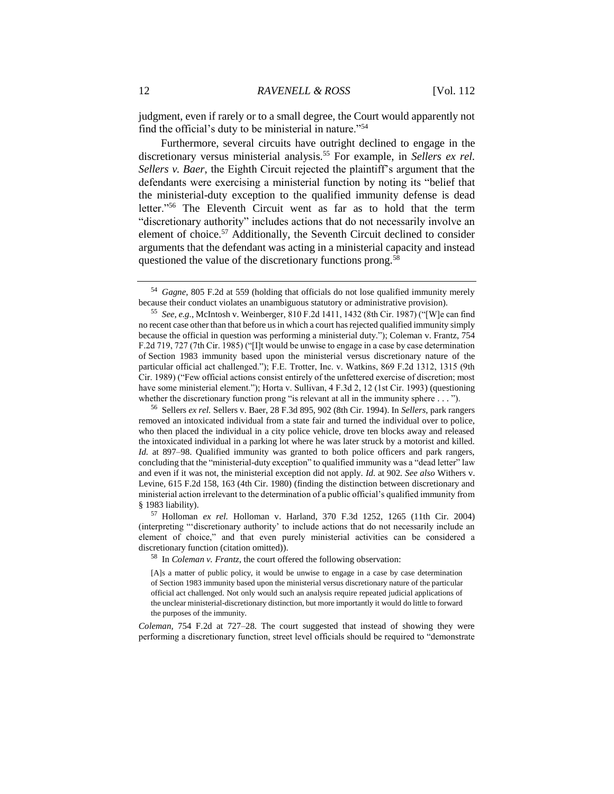judgment, even if rarely or to a small degree, the Court would apparently not find the official's duty to be ministerial in nature."<sup>54</sup>

Furthermore, several circuits have outright declined to engage in the discretionary versus ministerial analysis.<sup>55</sup> For example, in *Sellers ex rel. Sellers v. Baer*, the Eighth Circuit rejected the plaintiff's argument that the defendants were exercising a ministerial function by noting its "belief that the ministerial-duty exception to the qualified immunity defense is dead letter."<sup>56</sup> The Eleventh Circuit went as far as to hold that the term "discretionary authority" includes actions that do not necessarily involve an element of choice.<sup>57</sup> Additionally, the Seventh Circuit declined to consider arguments that the defendant was acting in a ministerial capacity and instead questioned the value of the discretionary functions prong.<sup>58</sup>

<sup>58</sup> In *Coleman v. Frantz*, the court offered the following observation:

[A]s a matter of public policy, it would be unwise to engage in a case by case determination of Section 1983 immunity based upon the ministerial versus discretionary nature of the particular official act challenged. Not only would such an analysis require repeated judicial applications of the unclear ministerial-discretionary distinction, but more importantly it would do little to forward the purposes of the immunity.

*Coleman*, 754 F.2d at 727–28. The court suggested that instead of showing they were performing a discretionary function, street level officials should be required to "demonstrate

<sup>54</sup> *Gagne*, 805 F.2d at 559 (holding that officials do not lose qualified immunity merely because their conduct violates an unambiguous statutory or administrative provision).

<sup>55</sup> *See, e.g.*, McIntosh v. Weinberger, 810 F.2d 1411, 1432 (8th Cir. 1987) ("[W]e can find no recent case other than that before us in which a court has rejected qualified immunity simply because the official in question was performing a ministerial duty."); Coleman v. Frantz*,* 754 F.2d 719, 727 (7th Cir. 1985) ("[I]t would be unwise to engage in a case by case determination of Section 1983 immunity based upon the ministerial versus discretionary nature of the particular official act challenged."); F.E. Trotter, Inc. v. Watkins, 869 F.2d 1312, 1315 (9th Cir. 1989) ("Few official actions consist entirely of the unfettered exercise of discretion; most have some ministerial element."); Horta v. Sullivan, 4 F.3d 2, 12 (1st Cir. 1993) (questioning whether the discretionary function prong "is relevant at all in the immunity sphere . . . ").

<sup>56</sup> Sellers *ex rel.* Sellers v. Baer, 28 F.3d 895, 902 (8th Cir. 1994). In *Sellers*, park rangers removed an intoxicated individual from a state fair and turned the individual over to police, who then placed the individual in a city police vehicle, drove ten blocks away and released the intoxicated individual in a parking lot where he was later struck by a motorist and killed. *Id.* at 897–98. Qualified immunity was granted to both police officers and park rangers, concluding that the "ministerial-duty exception" to qualified immunity was a "dead letter" law and even if it was not, the ministerial exception did not apply. *Id.* at 902*. See also* Withers v. Levine*,* 615 F.2d 158, 163 (4th Cir. 1980) (finding the distinction between discretionary and ministerial action irrelevant to the determination of a public official's qualified immunity from § 1983 liability).

<sup>57</sup> Holloman *ex rel.* Holloman v. Harland, 370 F.3d 1252, 1265 (11th Cir. 2004) (interpreting "'discretionary authority' to include actions that do not necessarily include an element of choice," and that even purely ministerial activities can be considered a discretionary function (citation omitted)).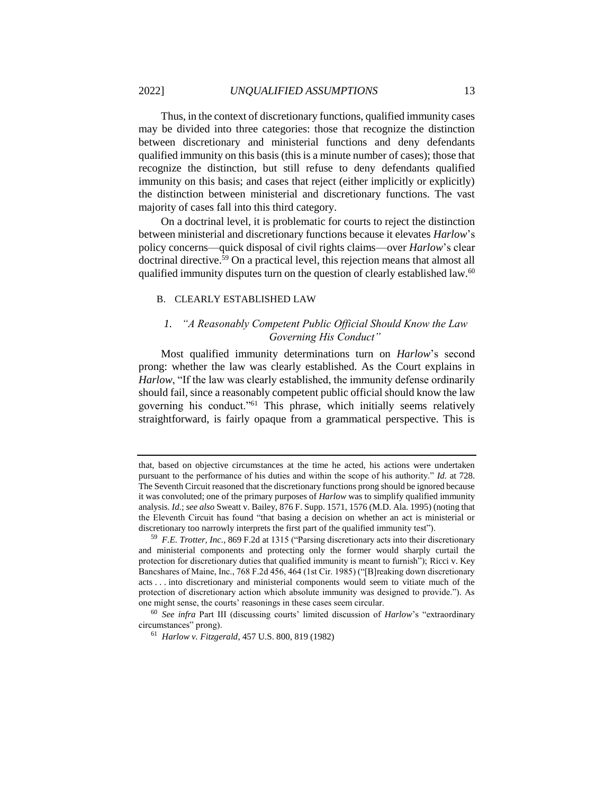Thus, in the context of discretionary functions, qualified immunity cases may be divided into three categories: those that recognize the distinction between discretionary and ministerial functions and deny defendants qualified immunity on this basis (this is a minute number of cases); those that recognize the distinction, but still refuse to deny defendants qualified immunity on this basis; and cases that reject (either implicitly or explicitly) the distinction between ministerial and discretionary functions. The vast majority of cases fall into this third category.

On a doctrinal level, it is problematic for courts to reject the distinction between ministerial and discretionary functions because it elevates *Harlow*'s policy concerns—quick disposal of civil rights claims—over *Harlow*'s clear  $\frac{1}{2}$  doctrinal directive.<sup>59</sup> On a practical level, this rejection means that almost all qualified immunity disputes turn on the question of clearly established law.<sup>60</sup>

#### B. CLEARLY ESTABLISHED LAW

## *1. "A Reasonably Competent Public Official Should Know the Law Governing His Conduct"*

Most qualified immunity determinations turn on *Harlow*'s second prong: whether the law was clearly established. As the Court explains in *Harlow*, "If the law was clearly established, the immunity defense ordinarily should fail, since a reasonably competent public official should know the law governing his conduct."<sup>61</sup> This phrase, which initially seems relatively straightforward, is fairly opaque from a grammatical perspective. This is

that, based on objective circumstances at the time he acted, his actions were undertaken pursuant to the performance of his duties and within the scope of his authority." *Id.* at 728. The Seventh Circuit reasoned that the discretionary functions prong should be ignored because it was convoluted; one of the primary purposes of *Harlow* was to simplify qualified immunity analysis. *Id.*; *see also* Sweatt v. Bailey, 876 F. Supp. 1571, 1576 (M.D. Ala. 1995) (noting that the Eleventh Circuit has found "that basing a decision on whether an act is ministerial or discretionary too narrowly interprets the first part of the qualified immunity test").

<sup>59</sup> *F.E. Trotter, Inc.*, 869 F.2d at 1315 ("Parsing discretionary acts into their discretionary and ministerial components and protecting only the former would sharply curtail the protection for discretionary duties that qualified immunity is meant to furnish"); Ricci v. Key Bancshares of Maine, Inc., 768 F.2d 456, 464 (1st Cir. 1985) ("[B]reaking down discretionary acts . . . into discretionary and ministerial components would seem to vitiate much of the protection of discretionary action which absolute immunity was designed to provide."). As one might sense, the courts' reasonings in these cases seem circular.

<sup>60</sup> *See infra* Part III (discussing courts' limited discussion of *Harlow*'s "extraordinary circumstances" prong).

<sup>61</sup> *Harlow v. Fitzgerald*, 457 U.S. 800, 819 (1982)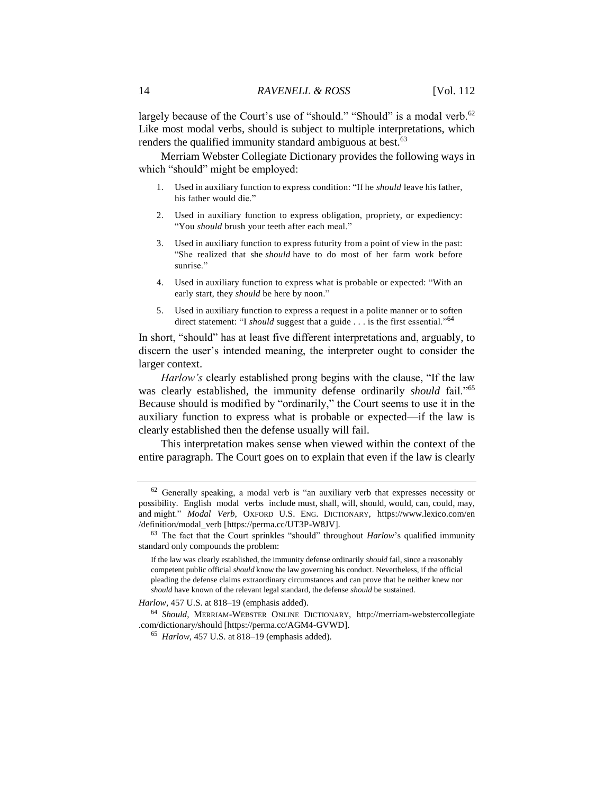largely because of the Court's use of "should." "Should" is a modal verb.<sup>62</sup> Like most modal verbs, should is subject to multiple interpretations, which renders the qualified immunity standard ambiguous at best.<sup>63</sup>

Merriam Webster Collegiate Dictionary provides the following ways in which "should" might be employed:

- 1. Used in auxiliary function to express condition: "If he *should* leave his father, his father would die."
- 2. Used in auxiliary function to express obligation, propriety, or expediency: "You *should* brush your teeth after each meal."
- 3. Used in auxiliary function to express futurity from a point of view in the past: "She realized that she *should* have to do most of her farm work before sunrise."
- 4. Used in auxiliary function to express what is probable or expected: "With an early start, they *should* be here by noon."
- 5. Used in auxiliary function to express a request in a polite manner or to soften direct statement: "I *should* suggest that a guide . . . is the first essential."<sup>64</sup>

In short, "should" has at least five different interpretations and, arguably, to discern the user's intended meaning, the interpreter ought to consider the larger context.

*Harlow's* clearly established prong begins with the clause, "If the law was clearly established, the immunity defense ordinarily *should* fail."<sup>65</sup> Because should is modified by "ordinarily," the Court seems to use it in the auxiliary function to express what is probable or expected—if the law is clearly established then the defense usually will fail.

This interpretation makes sense when viewed within the context of the entire paragraph. The Court goes on to explain that even if the law is clearly

 $62$  Generally speaking, a modal verb is "an auxiliary verb that expresses necessity or possibility. English modal verbs include must, shall, will, should, would, can, could, may, and might." *Modal Verb*, OXFORD U.S. ENG. DICTIONARY, https://www.lexico.com/en /definition/modal\_verb [https://perma.cc/UT3P-W8JV].

<sup>63</sup> The fact that the Court sprinkles "should" throughout *Harlow*'s qualified immunity standard only compounds the problem:

If the law was clearly established, the immunity defense ordinarily *should* fail, since a reasonably competent public official *should* know the law governing his conduct. Nevertheless, if the official pleading the defense claims extraordinary circumstances and can prove that he neither knew nor *should* have known of the relevant legal standard, the defense *should* be sustained.

*Harlow*, 457 U.S. at 818–19 (emphasis added).

<sup>64</sup> *Should*, MERRIAM-WEBSTER ONLINE DICTIONARY, http://merriam-webstercollegiate .com/dictionary/should [https://perma.cc/AGM4-GVWD].

<sup>65</sup> *Harlow*, 457 U.S. at 818–19 (emphasis added).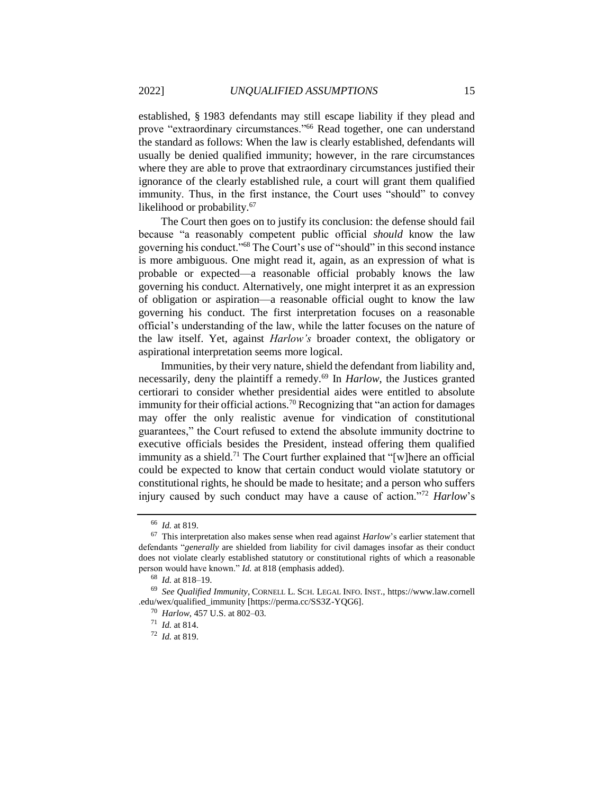established, § 1983 defendants may still escape liability if they plead and prove "extraordinary circumstances."<sup>66</sup> Read together, one can understand the standard as follows: When the law is clearly established, defendants will usually be denied qualified immunity; however, in the rare circumstances where they are able to prove that extraordinary circumstances justified their ignorance of the clearly established rule, a court will grant them qualified immunity. Thus, in the first instance, the Court uses "should" to convey likelihood or probability.<sup>67</sup>

The Court then goes on to justify its conclusion: the defense should fail because "a reasonably competent public official *should* know the law governing his conduct."<sup>68</sup> The Court's use of "should" in this second instance is more ambiguous. One might read it, again, as an expression of what is probable or expected—a reasonable official probably knows the law governing his conduct. Alternatively, one might interpret it as an expression of obligation or aspiration—a reasonable official ought to know the law governing his conduct. The first interpretation focuses on a reasonable official's understanding of the law, while the latter focuses on the nature of the law itself. Yet, against *Harlow's* broader context, the obligatory or aspirational interpretation seems more logical.

Immunities, by their very nature, shield the defendant from liability and, necessarily, deny the plaintiff a remedy.<sup>69</sup> In *Harlow*, the Justices granted certiorari to consider whether presidential aides were entitled to absolute immunity for their official actions.<sup>70</sup> Recognizing that "an action for damages may offer the only realistic avenue for vindication of constitutional guarantees," the Court refused to extend the absolute immunity doctrine to executive officials besides the President, instead offering them qualified immunity as a shield.<sup>71</sup> The Court further explained that "[w]here an official could be expected to know that certain conduct would violate statutory or constitutional rights, he should be made to hesitate; and a person who suffers injury caused by such conduct may have a cause of action."<sup>72</sup> *Harlow*'s

<sup>66</sup> *Id.* at 819.

<sup>67</sup> This interpretation also makes sense when read against *Harlow*'s earlier statement that defendants "*generally* are shielded from liability for civil damages insofar as their conduct does not violate clearly established statutory or constitutional rights of which a reasonable person would have known." *Id.* at 818 (emphasis added).

<sup>68</sup> *Id.* at 818–19.

<sup>69</sup> *See Qualified Immunity,* CORNELL L. SCH. LEGAL INFO. INST., https://www.law.cornell .edu/wex/qualified\_immunity [https://perma.cc/SS3Z-YQG6].

<sup>70</sup> *Harlow*, 457 U.S. at 802–03.

<sup>71</sup> *Id.* at 814.

<sup>72</sup> *Id.* at 819.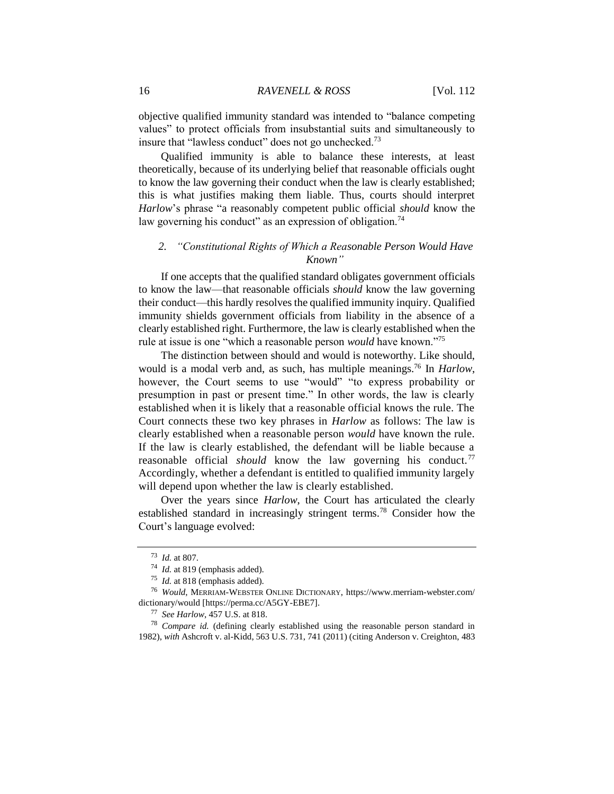objective qualified immunity standard was intended to "balance competing values" to protect officials from insubstantial suits and simultaneously to insure that "lawless conduct" does not go unchecked.<sup>73</sup>

Qualified immunity is able to balance these interests, at least theoretically, because of its underlying belief that reasonable officials ought to know the law governing their conduct when the law is clearly established; this is what justifies making them liable. Thus, courts should interpret *Harlow*'s phrase "a reasonably competent public official *should* know the law governing his conduct" as an expression of obligation.<sup>74</sup>

## *2. "Constitutional Rights of Which a Reasonable Person Would Have Known"*

If one accepts that the qualified standard obligates government officials to know the law—that reasonable officials *should* know the law governing their conduct—this hardly resolves the qualified immunity inquiry. Qualified immunity shields government officials from liability in the absence of a clearly established right. Furthermore, the law is clearly established when the rule at issue is one "which a reasonable person *would* have known."<sup>75</sup>

The distinction between should and would is noteworthy. Like should, would is a modal verb and, as such, has multiple meanings.<sup>76</sup> In *Harlow*, however, the Court seems to use "would" "to express probability or presumption in past or present time." In other words, the law is clearly established when it is likely that a reasonable official knows the rule. The Court connects these two key phrases in *Harlow* as follows: The law is clearly established when a reasonable person *would* have known the rule. If the law is clearly established, the defendant will be liable because a reasonable official *should* know the law governing his conduct.<sup>77</sup> Accordingly, whether a defendant is entitled to qualified immunity largely will depend upon whether the law is clearly established.

Over the years since *Harlow*, the Court has articulated the clearly established standard in increasingly stringent terms.<sup>78</sup> Consider how the Court's language evolved:

<sup>73</sup> *Id.* at 807.

<sup>74</sup> *Id.* at 819 (emphasis added).

<sup>75</sup> *Id.* at 818 (emphasis added).

<sup>76</sup> *Would*, MERRIAM-WEBSTER ONLINE DICTIONARY, https://www.merriam-webster.com/ dictionary/would [https://perma.cc/A5GY-EBE7].

<sup>77</sup> *See Harlow*, 457 U.S. at 818.

<sup>78</sup> *Compare id.* (defining clearly established using the reasonable person standard in 1982), *with* Ashcroft v. al-Kidd, 563 U.S. 731, 741 (2011) (citing Anderson v. Creighton, 483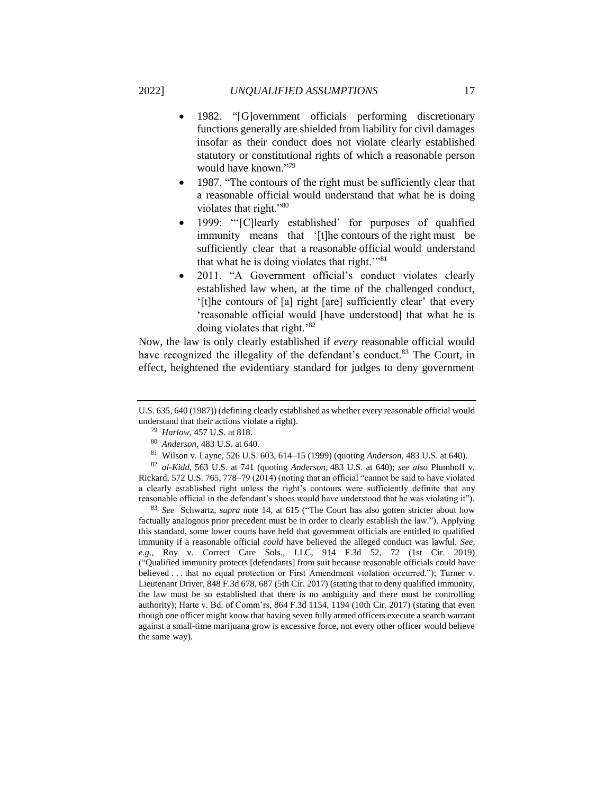- 1982. "[G]overnment officials performing discretionary functions generally are shielded from liability for civil damages insofar as their conduct does not violate clearly established statutory or constitutional rights of which a reasonable person would have known." 79
- 1987. "The contours of the right must be sufficiently clear that a reasonable official would understand that what he is doing violates that right."<sup>80</sup>
- 1999: "'[C]learly established' for purposes of qualified immunity means that '[t]he contours of the right must be sufficiently clear that a reasonable official would understand that what he is doing violates that right.'"<sup>81</sup>
- 2011. "A Government official's conduct violates clearly established law when, at the time of the challenged conduct, '[t]he contours of [a] right [are] sufficiently clear' that every 'reasonable official would [have understood] that what he is doing violates that right.'<sup>82</sup>

Now, the law is only clearly established if *every* reasonable official would have recognized the illegality of the defendant's conduct.<sup>83</sup> The Court, in effect, heightened the evidentiary standard for judges to deny government

<sup>82</sup> *al-Kidd*, 563 U.S. at 741 (quoting *Anderson,* 483 U.S. at 640); *see also* Plumhoff v. Rickard*,* 572 U.S. 765, 778–79 (2014) (noting that an official "cannot be said to have violated a clearly established right unless the right's contours were sufficiently definite that any reasonable official in the defendant's shoes would have understood that he was violating it").

<sup>83</sup> *See* Schwartz, *supra* note 14, at 615 ("The Court has also gotten stricter about how factually analogous prior precedent must be in order to clearly establish the law."). Applying this standard, some lower courts have held that government officials are entitled to qualified immunity if a reasonable official *could* have believed the alleged conduct was lawful. *See, e.g*., Roy v. Correct Care Sols., LLC, 914 F.3d 52, 72 (1st Cir. 2019) ("Qualified immunity protects [defendants] from suit because reasonable officials could have believed . . . that no equal protection or First Amendment violation occurred."); Turner v. Lieutenant Driver, 848 F.3d 678, 687 (5th Cir. 2017) (stating that to deny qualified immunity, the law must be so established that there is no ambiguity and there must be controlling authority); Harte v. Bd. of Comm'rs, 864 F.3d 1154, 1194 (10th Cir. 2017) (stating that even though one officer might know that having seven fully armed officers execute a search warrant against a small-time marijuana grow is excessive force, not every other officer would believe the same way).

U.S. 635, 640 (1987)) (defining clearly established as whether every reasonable official would understand that their actions violate a right).

<sup>79</sup> *Harlow*, 457 U.S. at 818.

<sup>80</sup> *Anderson*, 483 U.S. at 640.

<sup>81</sup> Wilson v. Layne, 526 U.S. 603, 614–15 (1999) (quoting *Anderson,* 483 U.S. at 640).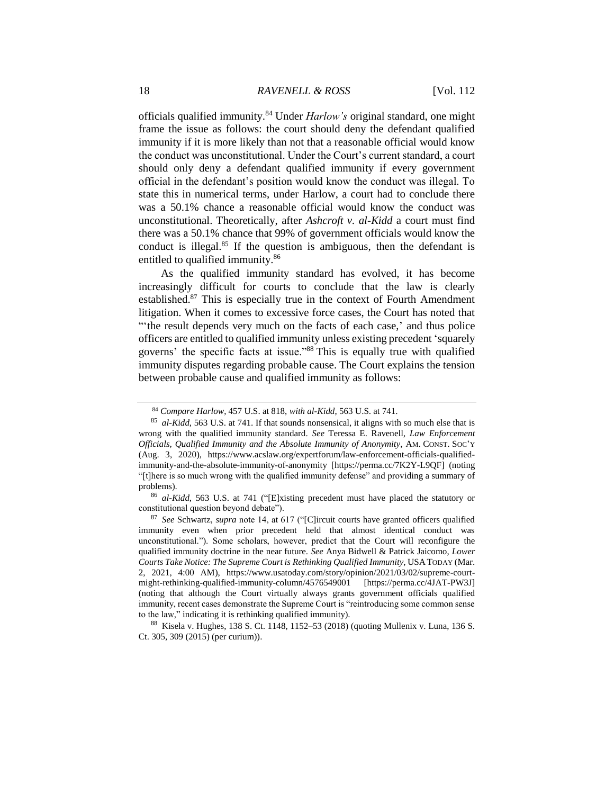officials qualified immunity.<sup>84</sup> Under *Harlow's* original standard, one might frame the issue as follows: the court should deny the defendant qualified immunity if it is more likely than not that a reasonable official would know the conduct was unconstitutional. Under the Court's current standard, a court should only deny a defendant qualified immunity if every government official in the defendant's position would know the conduct was illegal. To state this in numerical terms, under Harlow, a court had to conclude there was a 50.1% chance a reasonable official would know the conduct was unconstitutional. Theoretically, after *Ashcroft v. al-Kidd* a court must find there was a 50.1% chance that 99% of government officials would know the conduct is illegal. $85$  If the question is ambiguous, then the defendant is entitled to qualified immunity.<sup>86</sup>

As the qualified immunity standard has evolved, it has become increasingly difficult for courts to conclude that the law is clearly established.<sup>87</sup> This is especially true in the context of Fourth Amendment litigation. When it comes to excessive force cases, the Court has noted that "'the result depends very much on the facts of each case,' and thus police officers are entitled to qualified immunity unless existing precedent 'squarely governs' the specific facts at issue."<sup>88</sup> This is equally true with qualified immunity disputes regarding probable cause. The Court explains the tension between probable cause and qualified immunity as follows:

<sup>84</sup> *Compare Harlow*, 457 U.S. at 818, *with al-Kidd*, 563 U.S. at 741.

<sup>85</sup> *al-Kidd*, 563 U.S. at 741. If that sounds nonsensical, it aligns with so much else that is wrong with the qualified immunity standard. *See* Teressa E. Ravenell, *Law Enforcement Officials, Qualified Immunity and the Absolute Immunity of Anonymity*, AM. CONST. SOC'Y (Aug. 3, 2020), https://www.acslaw.org/expertforum/law-enforcement-officials-qualifiedimmunity-and-the-absolute-immunity-of-anonymity [https://perma.cc/7K2Y-L9QF] (noting "[t]here is so much wrong with the qualified immunity defense" and providing a summary of problems).

<sup>86</sup> *al-Kidd*, 563 U.S. at 741 ("[E]xisting precedent must have placed the statutory or constitutional question beyond debate").

<sup>87</sup> *See* Schwartz, *supra* note 14, at 617 ("[C]ircuit courts have granted officers qualified immunity even when prior precedent held that almost identical conduct was unconstitutional."). Some scholars, however, predict that the Court will reconfigure the qualified immunity doctrine in the near future. *See* Anya Bidwell & Patrick Jaicomo, *Lower Courts Take Notice: The Supreme Court is Rethinking Qualified Immunity*, USA TODAY (Mar. 2, 2021, 4:00 AM), https://www.usatoday.com/story/opinion/2021/03/02/supreme-courtmight-rethinking-qualified-immunity-column/4576549001 [https://perma.cc/4JAT-PW3J] (noting that although the Court virtually always grants government officials qualified immunity, recent cases demonstrate the Supreme Court is "reintroducing some common sense to the law," indicating it is rethinking qualified immunity).

<sup>88</sup> Kisela v. Hughes, 138 S. Ct. 1148, 1152–53 (2018) (quoting Mullenix v. Luna, 136 S. Ct. 305, 309 (2015) (per curium)).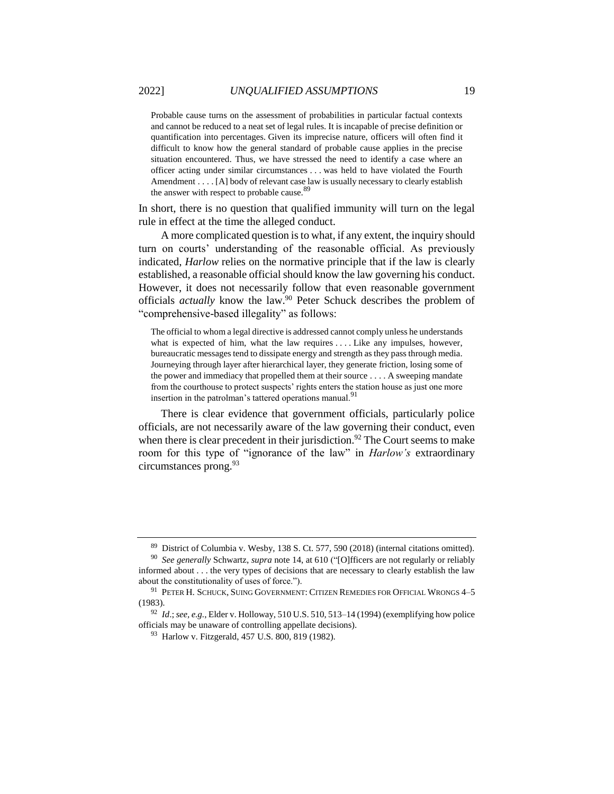Probable cause turns on the assessment of probabilities in particular factual contexts and cannot be reduced to a neat set of legal rules. It is incapable of precise definition or quantification into percentages. Given its imprecise nature, officers will often find it difficult to know how the general standard of probable cause applies in the precise situation encountered. Thus, we have stressed the need to identify a case where an officer acting under similar circumstances . . . was held to have violated the Fourth Amendment . . . . [A] body of relevant case law is usually necessary to clearly establish the answer with respect to probable cause.<sup>89</sup>

In short, there is no question that qualified immunity will turn on the legal rule in effect at the time the alleged conduct.

A more complicated question is to what, if any extent, the inquiry should turn on courts' understanding of the reasonable official. As previously indicated, *Harlow* relies on the normative principle that if the law is clearly established, a reasonable official should know the law governing his conduct. However, it does not necessarily follow that even reasonable government officials *actually* know the law.<sup>90</sup> Peter Schuck describes the problem of "comprehensive-based illegality" as follows:

The official to whom a legal directive is addressed cannot comply unless he understands what is expected of him, what the law requires .... Like any impulses, however, bureaucratic messages tend to dissipate energy and strength as they pass through media. Journeying through layer after hierarchical layer, they generate friction, losing some of the power and immediacy that propelled them at their source . . . . A sweeping mandate from the courthouse to protect suspects' rights enters the station house as just one more insertion in the patrolman's tattered operations manual.<sup>91</sup>

There is clear evidence that government officials, particularly police officials, are not necessarily aware of the law governing their conduct, even when there is clear precedent in their jurisdiction.<sup>92</sup> The Court seems to make room for this type of "ignorance of the law" in *Harlow's* extraordinary circumstances prong.<sup>93</sup>

<sup>89</sup> District of Columbia v. Wesby, 138 S. Ct. 577, 590 (2018) (internal citations omitted).

<sup>90</sup> *See generally* Schwartz, *supra* note 14, at 610 ("[O]fficers are not regularly or reliably informed about . . . the very types of decisions that are necessary to clearly establish the law about the constitutionality of uses of force.").

 $^{91}$  PETER H. SCHUCK, SUING GOVERNMENT: CITIZEN REMEDIES FOR OFFICIAL WRONGS  $4-5$ (1983).

<sup>92</sup> *Id*.; *see, e.g.*, Elder v. Holloway, 510 U.S. 510, 513–14 (1994) (exemplifying how police officials may be unaware of controlling appellate decisions).

<sup>93</sup> Harlow v. Fitzgerald, 457 U.S. 800, 819 (1982).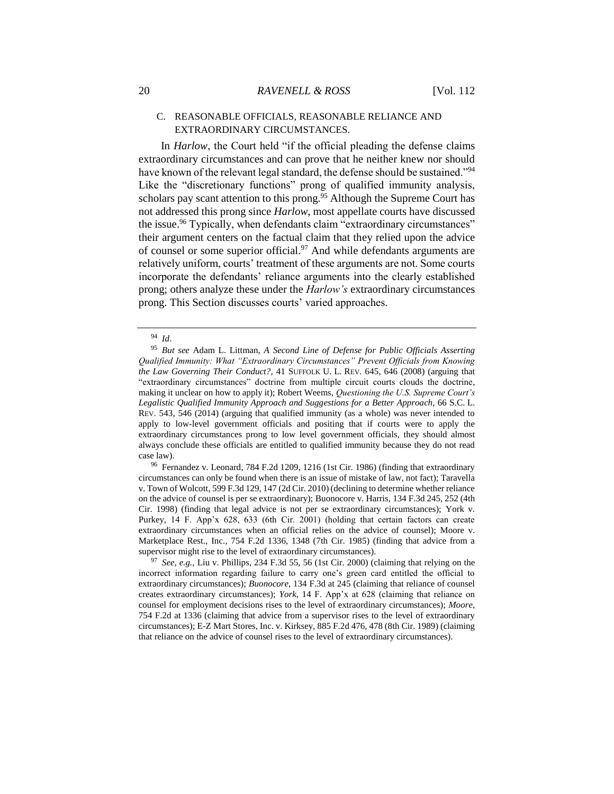## C. REASONABLE OFFICIALS, REASONABLE RELIANCE AND EXTRAORDINARY CIRCUMSTANCES.

In *Harlow*, the Court held "if the official pleading the defense claims extraordinary circumstances and can prove that he neither knew nor should have known of the relevant legal standard, the defense should be sustained."<sup>94</sup> Like the "discretionary functions" prong of qualified immunity analysis, scholars pay scant attention to this prong.<sup>95</sup> Although the Supreme Court has not addressed this prong since *Harlow*, most appellate courts have discussed the issue.<sup>96</sup> Typically, when defendants claim "extraordinary circumstances" their argument centers on the factual claim that they relied upon the advice of counsel or some superior official.<sup>97</sup> And while defendants arguments are relatively uniform, courts' treatment of these arguments are not. Some courts incorporate the defendants' reliance arguments into the clearly established prong; others analyze these under the *Harlow's* extraordinary circumstances prong. This Section discusses courts' varied approaches.

<sup>96</sup> Fernandez v. Leonard, 784 F.2d 1209, 1216 (1st Cir. 1986) (finding that extraordinary circumstances can only be found when there is an issue of mistake of law, not fact); Taravella v. Town of Wolcott, 599 F.3d 129, 147 (2d Cir. 2010) (declining to determine whether reliance on the advice of counsel is per se extraordinary); Buonocore v. Harris, 134 F.3d 245, 252 (4th Cir. 1998) (finding that legal advice is not per se extraordinary circumstances); York v. Purkey, 14 F. App'x 628, 633 (6th Cir. 2001) (holding that certain factors can create extraordinary circumstances when an official relies on the advice of counsel); Moore v. Marketplace Rest., Inc., 754 F.2d 1336, 1348 (7th Cir. 1985) (finding that advice from a supervisor might rise to the level of extraordinary circumstances).

<sup>97</sup> *See, e.g.*, Liu v. Phillips, 234 F.3d 55, 56 (1st Cir. 2000) (claiming that relying on the incorrect information regarding failure to carry one's green card entitled the official to extraordinary circumstances); *Buonocore*, 134 F.3d at 245 (claiming that reliance of counsel creates extraordinary circumstances); *York*, 14 F. App'x at 628 (claiming that reliance on counsel for employment decisions rises to the level of extraordinary circumstances); *Moore*, 754 F.2d at 1336 (claiming that advice from a supervisor rises to the level of extraordinary circumstances); E-Z Mart Stores, Inc. v. Kirksey, 885 F.2d 476, 478 (8th Cir. 1989) (claiming that reliance on the advice of counsel rises to the level of extraordinary circumstances).

<sup>94</sup> *Id*.

<sup>95</sup> *But see* Adam L. Littman, *A Second Line of Defense for Public Officials Asserting Qualified Immunity: What "Extraordinary Circumstances" Prevent Officials from Knowing the Law Governing Their Conduct?*, 41 SUFFOLK U. L. REV. 645, 646 (2008) (arguing that "extraordinary circumstances" doctrine from multiple circuit courts clouds the doctrine, making it unclear on how to apply it); Robert Weems, *Questioning the U.S. Supreme Court's Legalistic Qualified Immunity Approach and Suggestions for a Better Approach*, 66 S.C. L. REV. 543, 546 (2014) (arguing that qualified immunity (as a whole) was never intended to apply to low-level government officials and positing that if courts were to apply the extraordinary circumstances prong to low level government officials, they should almost always conclude these officials are entitled to qualified immunity because they do not read case law).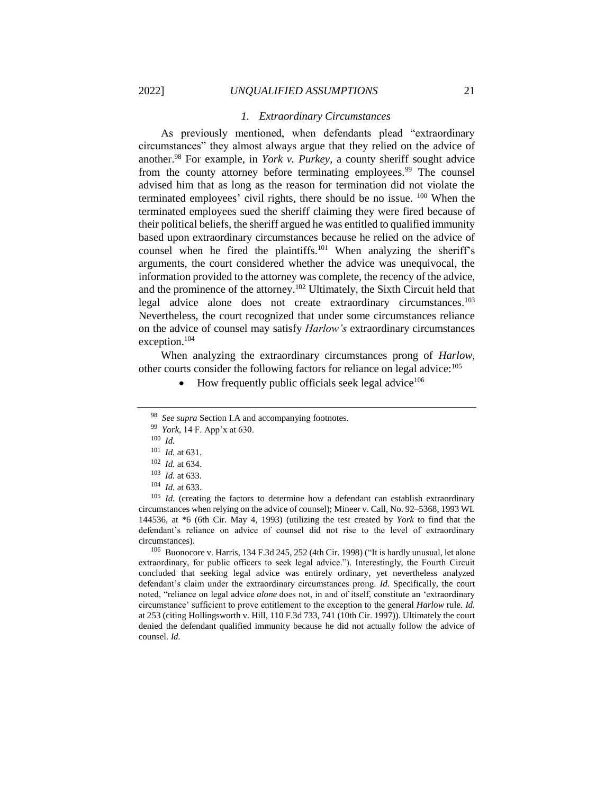#### *1. Extraordinary Circumstances*

As previously mentioned, when defendants plead "extraordinary circumstances" they almost always argue that they relied on the advice of another.<sup>98</sup> For example, in *York v. Purkey*, a county sheriff sought advice from the county attorney before terminating employees.<sup>99</sup> The counsel advised him that as long as the reason for termination did not violate the terminated employees' civil rights, there should be no issue. <sup>100</sup> When the terminated employees sued the sheriff claiming they were fired because of their political beliefs, the sheriff argued he was entitled to qualified immunity based upon extraordinary circumstances because he relied on the advice of counsel when he fired the plaintiffs.<sup>101</sup> When analyzing the sheriff's arguments, the court considered whether the advice was unequivocal, the information provided to the attorney was complete, the recency of the advice, and the prominence of the attorney.<sup>102</sup> Ultimately, the Sixth Circuit held that legal advice alone does not create extraordinary circumstances.<sup>103</sup> Nevertheless, the court recognized that under some circumstances reliance on the advice of counsel may satisfy *Harlow's* extraordinary circumstances exception.<sup>104</sup>

When analyzing the extraordinary circumstances prong of *Harlow*, other courts consider the following factors for reliance on legal advice:<sup>105</sup>

How frequently public officials seek legal advice<sup>106</sup>

<sup>106</sup> Buonocore v. Harris, 134 F.3d 245, 252 (4th Cir. 1998) ("It is hardly unusual, let alone extraordinary, for public officers to seek legal advice."). Interestingly, the Fourth Circuit concluded that seeking legal advice was entirely ordinary, yet nevertheless analyzed defendant's claim under the extraordinary circumstances prong. *Id*. Specifically, the court noted, "reliance on legal advice *alone* does not, in and of itself, constitute an 'extraordinary circumstance' sufficient to prove entitlement to the exception to the general *Harlow* rule. *Id.* at 253 (citing Hollingsworth v. Hill, 110 F.3d 733, 741 (10th Cir. 1997)). Ultimately the court denied the defendant qualified immunity because he did not actually follow the advice of counsel. *Id.*

<sup>98</sup> *See supra* Section I.A and accompanying footnotes.

<sup>99</sup> *York*, 14 F. App'x at 630.

<sup>100</sup> *Id.*

<sup>101</sup> *Id.* at 631.

<sup>102</sup> *Id.* at 634.

<sup>103</sup> *Id.* at 633*.*

<sup>104</sup> *Id.* at 633.

<sup>&</sup>lt;sup>105</sup> *Id.* (creating the factors to determine how a defendant can establish extraordinary circumstances when relying on the advice of counsel); Mineer v. Call, No. 92–5368, 1993 WL 144536, at \*6 (6th Cir. May 4, 1993) (utilizing the test created by *York* to find that the defendant's reliance on advice of counsel did not rise to the level of extraordinary circumstances).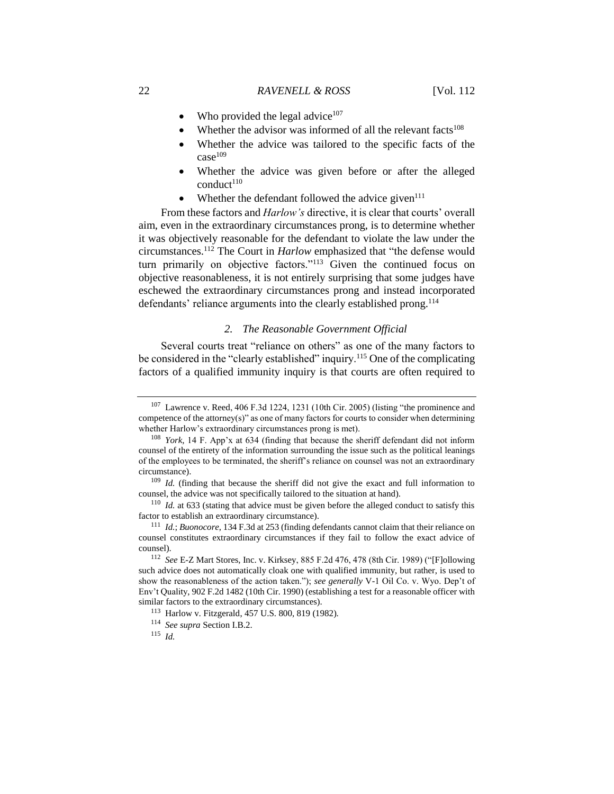- Who provided the legal advice<sup>107</sup>
- Whether the advisor was informed of all the relevant facts<sup>108</sup>
- Whether the advice was tailored to the specific facts of the  $case<sup>109</sup>$
- Whether the advice was given before or after the alleged  $\text{conduct}^{110}$
- Whether the defendant followed the advice given $111$

From these factors and *Harlow's* directive, it is clear that courts' overall aim, even in the extraordinary circumstances prong, is to determine whether it was objectively reasonable for the defendant to violate the law under the circumstances.<sup>112</sup> The Court in *Harlow* emphasized that "the defense would turn primarily on objective factors."<sup>113</sup> Given the continued focus on objective reasonableness, it is not entirely surprising that some judges have eschewed the extraordinary circumstances prong and instead incorporated defendants' reliance arguments into the clearly established prong.<sup>114</sup>

## *2. The Reasonable Government Official*

Several courts treat "reliance on others" as one of the many factors to be considered in the "clearly established" inquiry.<sup>115</sup> One of the complicating factors of a qualified immunity inquiry is that courts are often required to

 $107$  Lawrence v. Reed, 406 F.3d 1224, 1231 (10th Cir. 2005) (listing "the prominence and competence of the attorney(s)" as one of many factors for courts to consider when determining whether Harlow's extraordinary circumstances prong is met).

<sup>108</sup> *York*, 14 F. App'x at 634 (finding that because the sheriff defendant did not inform counsel of the entirety of the information surrounding the issue such as the political leanings of the employees to be terminated, the sheriff's reliance on counsel was not an extraordinary circumstance).

<sup>109</sup> *Id.* (finding that because the sheriff did not give the exact and full information to counsel, the advice was not specifically tailored to the situation at hand).

<sup>110</sup> *Id.* at 633 (stating that advice must be given before the alleged conduct to satisfy this factor to establish an extraordinary circumstance).

<sup>111</sup> *Id.*; *Buonocore*, 134 F.3d at 253 (finding defendants cannot claim that their reliance on counsel constitutes extraordinary circumstances if they fail to follow the exact advice of counsel).

<sup>112</sup> *See* E-Z Mart Stores, Inc. v. Kirksey, 885 F.2d 476, 478 (8th Cir. 1989) ("[F]ollowing such advice does not automatically cloak one with qualified immunity, but rather, is used to show the reasonableness of the action taken."); *see generally* V-1 Oil Co. v. Wyo. Dep't of Env't Quality, 902 F.2d 1482 (10th Cir. 1990) (establishing a test for a reasonable officer with similar factors to the extraordinary circumstances).

<sup>113</sup> Harlow v. Fitzgerald, 457 U.S. 800, 819 (1982).

<sup>114</sup> *See supra* Section I.B.2.

<sup>115</sup> *Id.*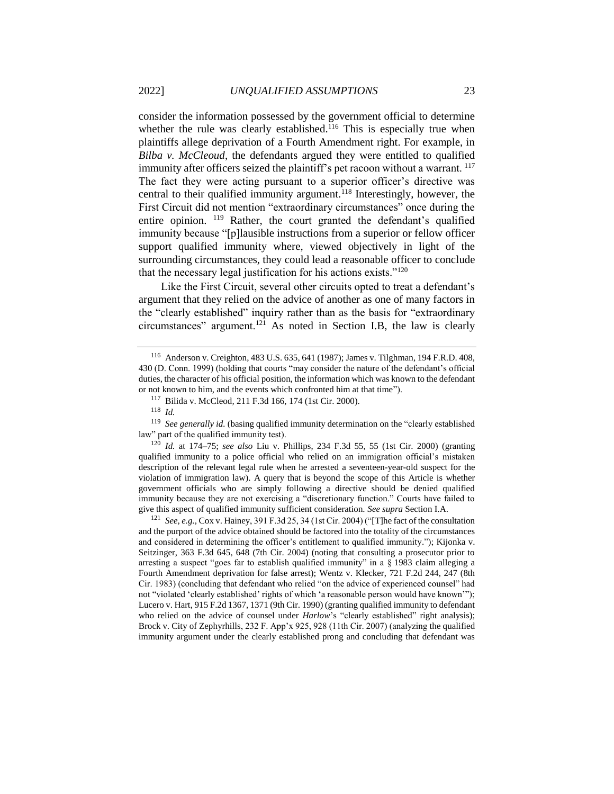consider the information possessed by the government official to determine whether the rule was clearly established.<sup>116</sup> This is especially true when plaintiffs allege deprivation of a Fourth Amendment right. For example, in *Bilba v. McCleoud*, the defendants argued they were entitled to qualified immunity after officers seized the plaintiff's pet racoon without a warrant. <sup>117</sup> The fact they were acting pursuant to a superior officer's directive was central to their qualified immunity argument.<sup>118</sup> Interestingly, however, the First Circuit did not mention "extraordinary circumstances" once during the entire opinion. <sup>119</sup> Rather, the court granted the defendant's qualified immunity because "[p]lausible instructions from a superior or fellow officer support qualified immunity where, viewed objectively in light of the surrounding circumstances, they could lead a reasonable officer to conclude that the necessary legal justification for his actions exists."<sup>120</sup>

Like the First Circuit, several other circuits opted to treat a defendant's argument that they relied on the advice of another as one of many factors in the "clearly established" inquiry rather than as the basis for "extraordinary circumstances" argument.<sup>121</sup> As noted in Section I.B, the law is clearly

<sup>120</sup> *Id.* at 174–75; *see also* Liu v. Phillips, 234 F.3d 55, 55 (1st Cir. 2000) (granting qualified immunity to a police official who relied on an immigration official's mistaken description of the relevant legal rule when he arrested a seventeen-year-old suspect for the violation of immigration law). A query that is beyond the scope of this Article is whether government officials who are simply following a directive should be denied qualified immunity because they are not exercising a "discretionary function." Courts have failed to give this aspect of qualified immunity sufficient consideration. *See supra* Section I.A.

<sup>121</sup> *See, e.g.*, Cox v. Hainey, 391 F.3d 25, 34 (1st Cir. 2004) ("[T]he fact of the consultation and the purport of the advice obtained should be factored into the totality of the circumstances and considered in determining the officer's entitlement to qualified immunity."); Kijonka v. Seitzinger, 363 F.3d 645, 648 (7th Cir. 2004) (noting that consulting a prosecutor prior to arresting a suspect "goes far to establish qualified immunity" in a  $\S$  1983 claim alleging a Fourth Amendment deprivation for false arrest); Wentz v. Klecker, 721 F.2d 244, 247 (8th Cir. 1983) (concluding that defendant who relied "on the advice of experienced counsel" had not "violated 'clearly established' rights of which 'a reasonable person would have known'"); Lucero v. Hart, 915 F.2d 1367, 1371 (9th Cir. 1990) (granting qualified immunity to defendant who relied on the advice of counsel under *Harlow*'s "clearly established" right analysis); Brock v. City of Zephyrhills, 232 F. App'x 925, 928 (11th Cir. 2007) (analyzing the qualified immunity argument under the clearly established prong and concluding that defendant was

<sup>116</sup> Anderson v. Creighton, 483 U.S. 635, 641 (1987); James v. Tilghman, 194 F.R.D. 408, 430 (D. Conn. 1999) (holding that courts "may consider the nature of the defendant's official duties, the character of his official position, the information which was known to the defendant or not known to him, and the events which confronted him at that time").

<sup>117</sup> Bilida v. McCleod*,* 211 F.3d 166, 174 (1st Cir. 2000).

<sup>118</sup> *Id.*

<sup>119</sup> *See generally id.* (basing qualified immunity determination on the "clearly established law" part of the qualified immunity test).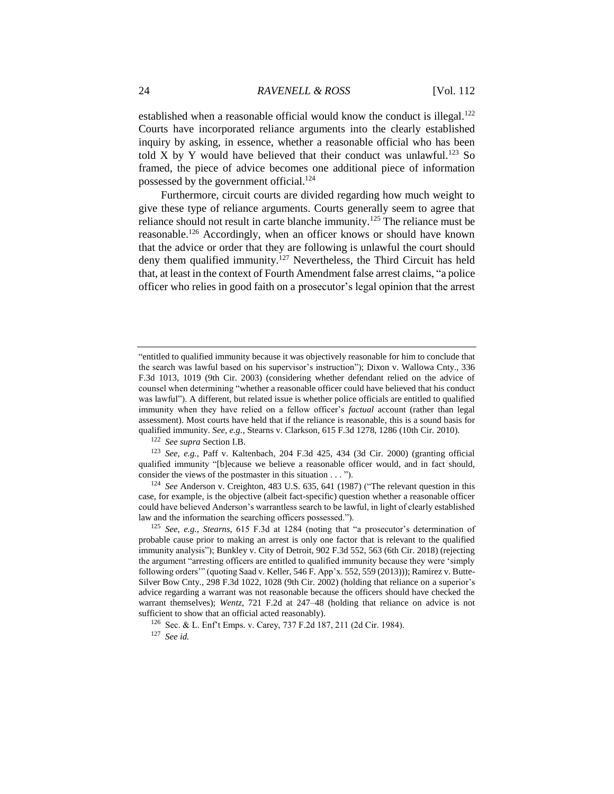established when a reasonable official would know the conduct is illegal.<sup>122</sup> Courts have incorporated reliance arguments into the clearly established inquiry by asking, in essence, whether a reasonable official who has been told X by Y would have believed that their conduct was unlawful.<sup>123</sup> So framed, the piece of advice becomes one additional piece of information possessed by the government official.<sup>124</sup>

Furthermore, circuit courts are divided regarding how much weight to give these type of reliance arguments. Courts generally seem to agree that reliance should not result in carte blanche immunity.<sup>125</sup> The reliance must be reasonable.<sup>126</sup> Accordingly, when an officer knows or should have known that the advice or order that they are following is unlawful the court should deny them qualified immunity.<sup>127</sup> Nevertheless, the Third Circuit has held that, at least in the context of Fourth Amendment false arrest claims, "a police officer who relies in good faith on a prosecutor's legal opinion that the arrest

<sup>122</sup> *See supra* Section I.B.

<sup>123</sup> *See, e.g.*, Paff v. Kaltenbach*,* 204 F.3d 425, 434 (3d Cir. 2000) (granting official qualified immunity "[b]ecause we believe a reasonable officer would, and in fact should, consider the views of the postmaster in this situation . . . ").

<sup>124</sup> *See* Anderson v. Creighton, 483 U.S. 635, 641 (1987) ("The relevant question in this case, for example, is the objective (albeit fact-specific) question whether a reasonable officer could have believed Anderson's warrantless search to be lawful, in light of clearly established law and the information the searching officers possessed.").

<sup>125</sup> *See, e.g.*, *Stearns*, 615 F.3d at 1284 (noting that "a prosecutor's determination of probable cause prior to making an arrest is only one factor that is relevant to the qualified immunity analysis"); Bunkley v. City of Detroit, 902 F.3d 552, 563 (6th Cir. 2018) (rejecting the argument "arresting officers are entitled to qualified immunity because they were 'simply following orders'" (quoting Saad v. Keller, 546 F. App'x. 552, 559 (2013))); Ramirez v. Butte-Silver Bow Cnty., 298 F.3d 1022, 1028 (9th Cir. 2002) (holding that reliance on a superior's advice regarding a warrant was not reasonable because the officers should have checked the warrant themselves); *Wentz*, 721 F.2d at 247–48 (holding that reliance on advice is not sufficient to show that an official acted reasonably).

<sup>127</sup> *See id.*

<sup>&</sup>quot;entitled to qualified immunity because it was objectively reasonable for him to conclude that the search was lawful based on his supervisor's instruction"); Dixon v. Wallowa Cnty., 336 F.3d 1013, 1019 (9th Cir. 2003) (considering whether defendant relied on the advice of counsel when determining "whether a reasonable officer could have believed that his conduct was lawful"). A different, but related issue is whether police officials are entitled to qualified immunity when they have relied on a fellow officer's *factual* account (rather than legal assessment). Most courts have held that if the reliance is reasonable, this is a sound basis for qualified immunity. *See, e.g.*, Stearns v. Clarkson, 615 F.3d 1278, 1286 (10th Cir. 2010).

<sup>126</sup> Sec. & L. Enf't Emps. v. Carey, 737 F.2d 187, 211 (2d Cir. 1984).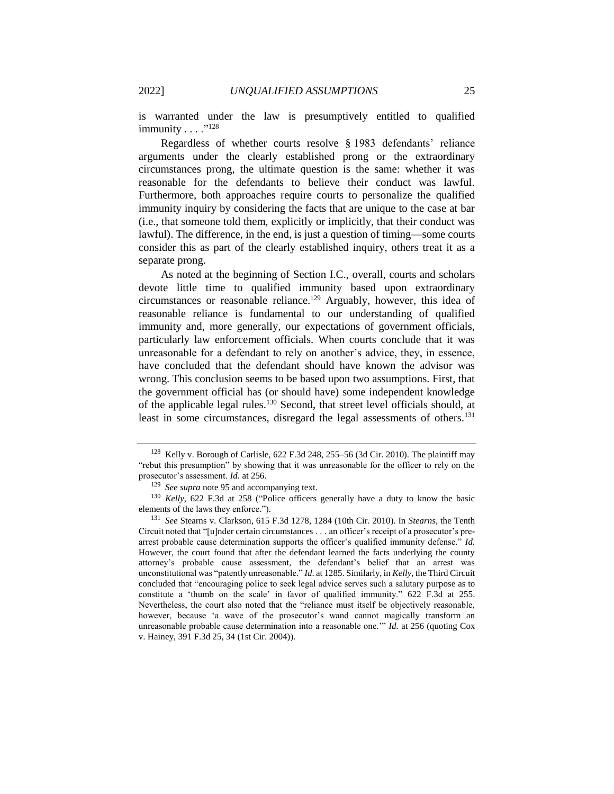is warranted under the law is presumptively entitled to qualified immunity  $\dots$  ."128

Regardless of whether courts resolve § 1983 defendants' reliance arguments under the clearly established prong or the extraordinary circumstances prong, the ultimate question is the same: whether it was reasonable for the defendants to believe their conduct was lawful. Furthermore, both approaches require courts to personalize the qualified immunity inquiry by considering the facts that are unique to the case at bar (i.e., that someone told them, explicitly or implicitly, that their conduct was lawful). The difference, in the end, is just a question of timing—some courts consider this as part of the clearly established inquiry, others treat it as a separate prong.

As noted at the beginning of Section I.C., overall, courts and scholars devote little time to qualified immunity based upon extraordinary circumstances or reasonable reliance.<sup>129</sup> Arguably, however, this idea of reasonable reliance is fundamental to our understanding of qualified immunity and, more generally, our expectations of government officials, particularly law enforcement officials. When courts conclude that it was unreasonable for a defendant to rely on another's advice, they, in essence, have concluded that the defendant should have known the advisor was wrong. This conclusion seems to be based upon two assumptions. First, that the government official has (or should have) some independent knowledge of the applicable legal rules.<sup>130</sup> Second, that street level officials should, at least in some circumstances, disregard the legal assessments of others.<sup>131</sup>

 $128$  Kelly v. Borough of Carlisle, 622 F.3d 248, 255–56 (3d Cir. 2010). The plaintiff may "rebut this presumption" by showing that it was unreasonable for the officer to rely on the prosecutor's assessment. *Id.* at 256.

<sup>129</sup> *See supra* note 95 and accompanying text.

<sup>130</sup> *Kelly*, 622 F.3d at 258 ("Police officers generally have a duty to know the basic elements of the laws they enforce.").

<sup>131</sup> *See* Stearns v. Clarkson, 615 F.3d 1278, 1284 (10th Cir. 2010). In *Stearns,* the Tenth Circuit noted that "[u]nder certain circumstances . . . an officer's receipt of a prosecutor's prearrest probable cause determination supports the officer's qualified immunity defense." *Id.* However, the court found that after the defendant learned the facts underlying the county attorney's probable cause assessment, the defendant's belief that an arrest was unconstitutional was "patently unreasonable." *Id*. at 1285. Similarly, in *Kelly*, the Third Circuit concluded that "encouraging police to seek legal advice serves such a salutary purpose as to constitute a 'thumb on the scale' in favor of qualified immunity." 622 F.3d at 255. Nevertheless, the court also noted that the "reliance must itself be objectively reasonable, however, because 'a wave of the prosecutor's wand cannot magically transform an unreasonable probable cause determination into a reasonable one.'" *Id.* at 256 (quoting Cox v. Hainey, 391 F.3d 25, 34 (1st Cir. 2004)).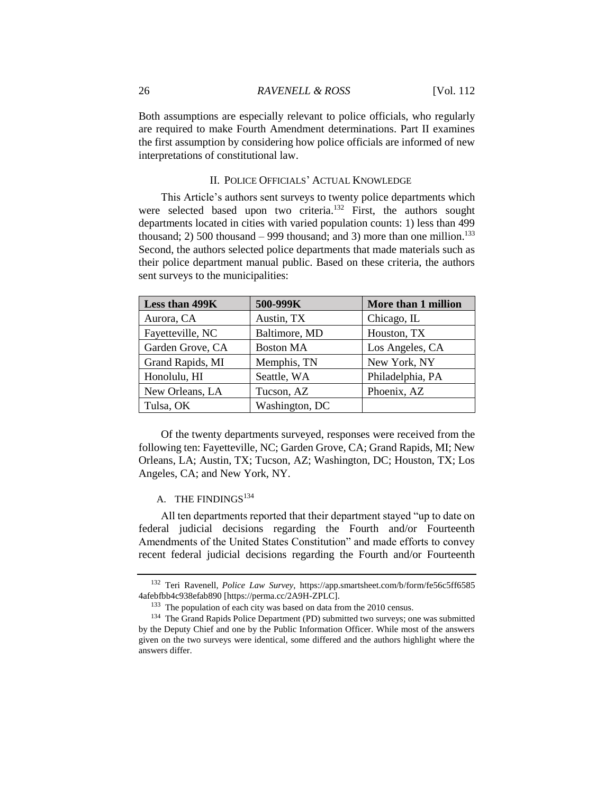Both assumptions are especially relevant to police officials, who regularly are required to make Fourth Amendment determinations. Part II examines the first assumption by considering how police officials are informed of new interpretations of constitutional law.

#### II. POLICE OFFICIALS' ACTUAL KNOWLEDGE

This Article's authors sent surveys to twenty police departments which were selected based upon two criteria.<sup>132</sup> First, the authors sought departments located in cities with varied population counts: 1) less than 499 thousand; 2) 500 thousand – 999 thousand; and 3) more than one million.<sup>133</sup> Second, the authors selected police departments that made materials such as their police department manual public. Based on these criteria, the authors sent surveys to the municipalities:

| Less than 499K   | 500-999K         | More than 1 million |
|------------------|------------------|---------------------|
| Aurora, CA       | Austin, TX       | Chicago, IL         |
| Fayetteville, NC | Baltimore, MD    | Houston, TX         |
| Garden Grove, CA | <b>Boston MA</b> | Los Angeles, CA     |
| Grand Rapids, MI | Memphis, TN      | New York, NY        |
| Honolulu, HI     | Seattle, WA      | Philadelphia, PA    |
| New Orleans, LA  | Tucson, AZ       | Phoenix, AZ         |
| Tulsa, OK        | Washington, DC   |                     |

Of the twenty departments surveyed, responses were received from the following ten: Fayetteville, NC; Garden Grove, CA; Grand Rapids, MI; New Orleans, LA; Austin, TX; Tucson, AZ; Washington, DC; Houston, TX; Los Angeles, CA; and New York, NY.

## A. THE FINDINGS<sup>134</sup>

All ten departments reported that their department stayed "up to date on federal judicial decisions regarding the Fourth and/or Fourteenth Amendments of the United States Constitution" and made efforts to convey recent federal judicial decisions regarding the Fourth and/or Fourteenth

<sup>132</sup> Teri Ravenell, *Police Law Survey*, https://app.smartsheet.com/b/form/fe56c5ff6585 4afebfbb4c938efab890 [https://perma.cc/2A9H-ZPLC].

<sup>&</sup>lt;sup>133</sup> The population of each city was based on data from the 2010 census.

<sup>&</sup>lt;sup>134</sup> The Grand Rapids Police Department (PD) submitted two surveys; one was submitted by the Deputy Chief and one by the Public Information Officer. While most of the answers given on the two surveys were identical, some differed and the authors highlight where the answers differ.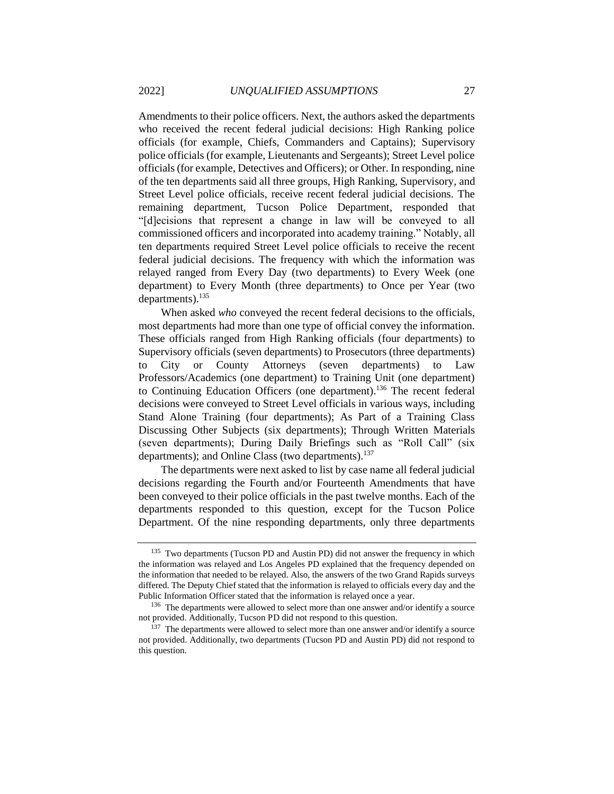Amendments to their police officers. Next, the authors asked the departments who received the recent federal judicial decisions: High Ranking police officials (for example, Chiefs, Commanders and Captains); Supervisory police officials (for example, Lieutenants and Sergeants); Street Level police officials (for example, Detectives and Officers); or Other. In responding, nine of the ten departments said all three groups, High Ranking, Supervisory, and Street Level police officials, receive recent federal judicial decisions. The remaining department, Tucson Police Department, responded that "[d]ecisions that represent a change in law will be conveyed to all commissioned officers and incorporated into academy training." Notably, all ten departments required Street Level police officials to receive the recent federal judicial decisions. The frequency with which the information was relayed ranged from Every Day (two departments) to Every Week (one department) to Every Month (three departments) to Once per Year (two departments).<sup>135</sup>

When asked *who* conveyed the recent federal decisions to the officials, most departments had more than one type of official convey the information. These officials ranged from High Ranking officials (four departments) to Supervisory officials (seven departments) to Prosecutors (three departments) to City or County Attorneys (seven departments) to Law Professors/Academics (one department) to Training Unit (one department) to Continuing Education Officers (one department). <sup>136</sup> The recent federal decisions were conveyed to Street Level officials in various ways, including Stand Alone Training (four departments); As Part of a Training Class Discussing Other Subjects (six departments); Through Written Materials (seven departments); During Daily Briefings such as "Roll Call" (six departments); and Online Class (two departments).<sup>137</sup>

The departments were next asked to list by case name all federal judicial decisions regarding the Fourth and/or Fourteenth Amendments that have been conveyed to their police officials in the past twelve months. Each of the departments responded to this question, except for the Tucson Police Department. Of the nine responding departments, only three departments

<sup>&</sup>lt;sup>135</sup> Two departments (Tucson PD and Austin PD) did not answer the frequency in which the information was relayed and Los Angeles PD explained that the frequency depended on the information that needed to be relayed. Also, the answers of the two Grand Rapids surveys differed. The Deputy Chief stated that the information is relayed to officials every day and the Public Information Officer stated that the information is relayed once a year.

<sup>&</sup>lt;sup>136</sup> The departments were allowed to select more than one answer and/or identify a source not provided. Additionally, Tucson PD did not respond to this question.

<sup>&</sup>lt;sup>137</sup> The departments were allowed to select more than one answer and/or identify a source not provided. Additionally, two departments (Tucson PD and Austin PD) did not respond to this question.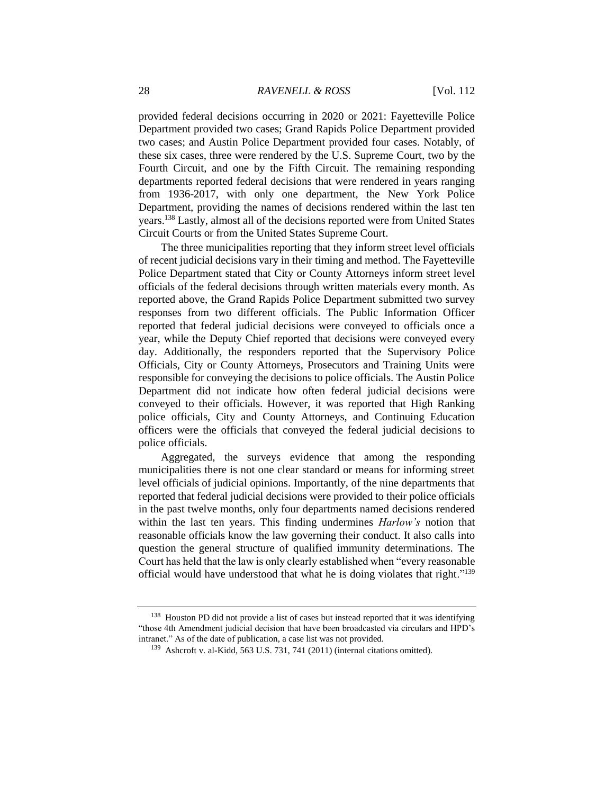provided federal decisions occurring in 2020 or 2021: Fayetteville Police Department provided two cases; Grand Rapids Police Department provided two cases; and Austin Police Department provided four cases. Notably, of these six cases, three were rendered by the U.S. Supreme Court, two by the Fourth Circuit, and one by the Fifth Circuit. The remaining responding departments reported federal decisions that were rendered in years ranging from 1936-2017, with only one department, the New York Police Department, providing the names of decisions rendered within the last ten years.<sup>138</sup> Lastly, almost all of the decisions reported were from United States Circuit Courts or from the United States Supreme Court.

The three municipalities reporting that they inform street level officials of recent judicial decisions vary in their timing and method. The Fayetteville Police Department stated that City or County Attorneys inform street level officials of the federal decisions through written materials every month. As reported above, the Grand Rapids Police Department submitted two survey responses from two different officials. The Public Information Officer reported that federal judicial decisions were conveyed to officials once a year, while the Deputy Chief reported that decisions were conveyed every day. Additionally, the responders reported that the Supervisory Police Officials, City or County Attorneys, Prosecutors and Training Units were responsible for conveying the decisions to police officials. The Austin Police Department did not indicate how often federal judicial decisions were conveyed to their officials. However, it was reported that High Ranking police officials, City and County Attorneys, and Continuing Education officers were the officials that conveyed the federal judicial decisions to police officials.

Aggregated, the surveys evidence that among the responding municipalities there is not one clear standard or means for informing street level officials of judicial opinions. Importantly, of the nine departments that reported that federal judicial decisions were provided to their police officials in the past twelve months, only four departments named decisions rendered within the last ten years. This finding undermines *Harlow's* notion that reasonable officials know the law governing their conduct. It also calls into question the general structure of qualified immunity determinations. The Court has held that the law is only clearly established when "every reasonable official would have understood that what he is doing violates that right."<sup>139</sup>

<sup>&</sup>lt;sup>138</sup> Houston PD did not provide a list of cases but instead reported that it was identifying "those 4th Amendment judicial decision that have been broadcasted via circulars and HPD's intranet." As of the date of publication, a case list was not provided.

<sup>139</sup> Ashcroft v. al-Kidd, 563 U.S. 731, 741 (2011) (internal citations omitted).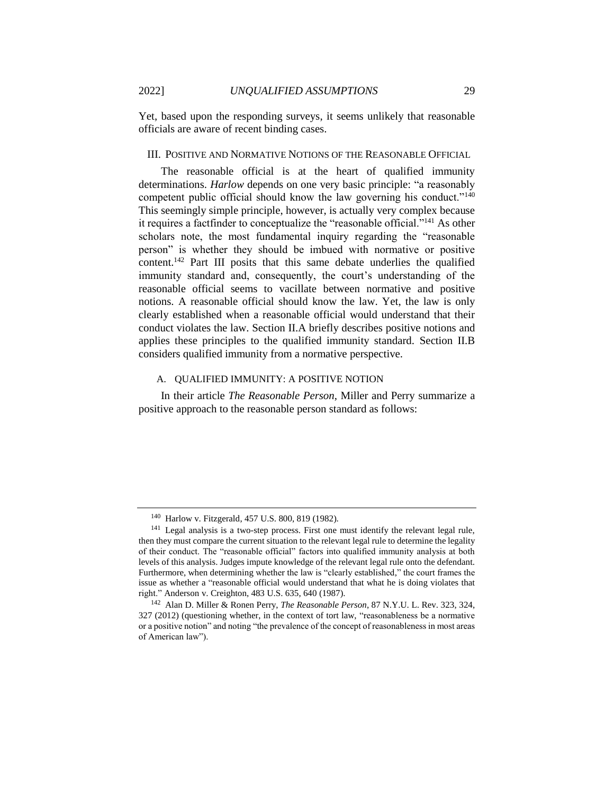Yet, based upon the responding surveys, it seems unlikely that reasonable officials are aware of recent binding cases.

### III. POSITIVE AND NORMATIVE NOTIONS OF THE REASONABLE OFFICIAL

The reasonable official is at the heart of qualified immunity determinations. *Harlow* depends on one very basic principle: "a reasonably competent public official should know the law governing his conduct."<sup>140</sup> This seemingly simple principle, however, is actually very complex because it requires a factfinder to conceptualize the "reasonable official."<sup>141</sup> As other scholars note, the most fundamental inquiry regarding the "reasonable person" is whether they should be imbued with normative or positive content.<sup>142</sup> Part III posits that this same debate underlies the qualified immunity standard and, consequently, the court's understanding of the reasonable official seems to vacillate between normative and positive notions. A reasonable official should know the law. Yet, the law is only clearly established when a reasonable official would understand that their conduct violates the law. Section II.A briefly describes positive notions and applies these principles to the qualified immunity standard. Section II.B considers qualified immunity from a normative perspective.

### A. QUALIFIED IMMUNITY: A POSITIVE NOTION

In their article *The Reasonable Person*, Miller and Perry summarize a positive approach to the reasonable person standard as follows:

<sup>140</sup> Harlow v. Fitzgerald, 457 U.S. 800, 819 (1982).

<sup>&</sup>lt;sup>141</sup> Legal analysis is a two-step process. First one must identify the relevant legal rule, then they must compare the current situation to the relevant legal rule to determine the legality of their conduct. The "reasonable official" factors into qualified immunity analysis at both levels of this analysis. Judges impute knowledge of the relevant legal rule onto the defendant. Furthermore, when determining whether the law is "clearly established," the court frames the issue as whether a "reasonable official would understand that what he is doing violates that right." Anderson v. Creighton, 483 U.S. 635, 640 (1987).

<sup>142</sup> Alan D. Miller & Ronen Perry, *The Reasonable Person*, 87 N.Y.U. L. Rev. 323, 324, 327 (2012) (questioning whether, in the context of tort law, "reasonableness be a normative or a positive notion" and noting "the prevalence of the concept of reasonableness in most areas of American law").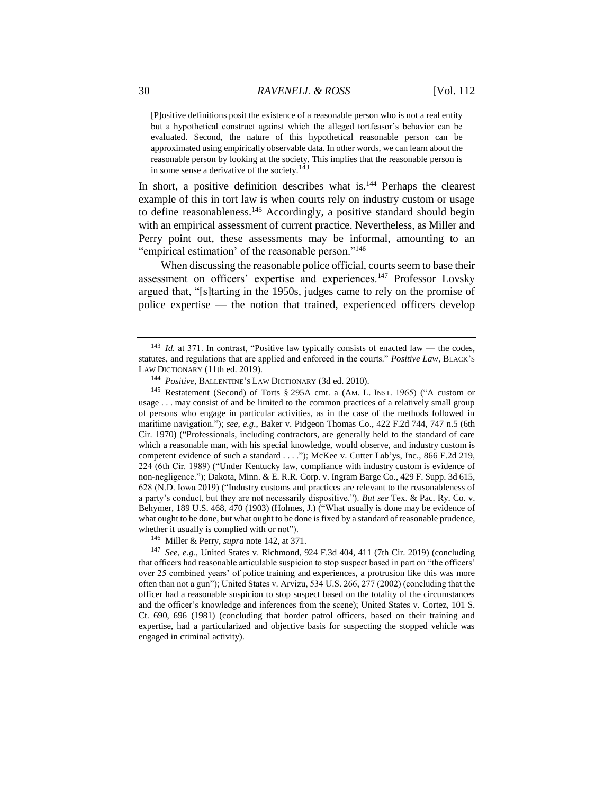[P]ositive definitions posit the existence of a reasonable person who is not a real entity but a hypothetical construct against which the alleged tortfeasor's behavior can be evaluated. Second, the nature of this hypothetical reasonable person can be approximated using empirically observable data. In other words, we can learn about the reasonable person by looking at the society. This implies that the reasonable person is in some sense a derivative of the society.<sup>143</sup>

In short, a positive definition describes what is.<sup>144</sup> Perhaps the clearest example of this in tort law is when courts rely on industry custom or usage to define reasonableness.<sup>145</sup> Accordingly, a positive standard should begin with an empirical assessment of current practice. Nevertheless, as Miller and Perry point out, these assessments may be informal, amounting to an "empirical estimation' of the reasonable person."<sup>146</sup>

When discussing the reasonable police official, courts seem to base their assessment on officers' expertise and experiences.<sup>147</sup> Professor Lovsky argued that, "[s]tarting in the 1950s, judges came to rely on the promise of police expertise — the notion that trained, experienced officers develop

<sup>145</sup> Restatement (Second) of Torts § 295A cmt. a (AM. L. INST. 1965) ("A custom or usage . . . may consist of and be limited to the common practices of a relatively small group of persons who engage in particular activities, as in the case of the methods followed in maritime navigation."); *see, e.g.*, Baker v. Pidgeon Thomas Co., 422 F.2d 744, 747 n.5 (6th Cir. 1970) ("Professionals, including contractors, are generally held to the standard of care which a reasonable man, with his special knowledge, would observe, and industry custom is competent evidence of such a standard . . . ."); McKee v. Cutter Lab'ys, Inc., 866 F.2d 219, 224 (6th Cir. 1989) ("Under Kentucky law, compliance with industry custom is evidence of non-negligence."); Dakota, Minn. & E. R.R. Corp. v. Ingram Barge Co., 429 F. Supp. 3d 615, 628 (N.D. Iowa 2019) ("Industry customs and practices are relevant to the reasonableness of a party's conduct, but they are not necessarily dispositive."). *But see* Tex. & Pac. Ry. Co. v. Behymer, 189 U.S. 468, 470 (1903) (Holmes, J.) ("What usually is done may be evidence of what ought to be done, but what ought to be done isfixed by a standard of reasonable prudence, whether it usually is complied with or not").

<sup>146</sup> Miller & Perry, *supra* note 142, at 371.

<sup>147</sup> *See, e.g.*, United States v. Richmond, 924 F.3d 404, 411 (7th Cir. 2019) (concluding that officers had reasonable articulable suspicion to stop suspect based in part on "the officers' over 25 combined years' of police training and experiences, a protrusion like this was more often than not a gun"); United States v. Arvizu, 534 U.S. 266, 277 (2002) (concluding that the officer had a reasonable suspicion to stop suspect based on the totality of the circumstances and the officer's knowledge and inferences from the scene); United States v. Cortez, 101 S. Ct. 690, 696 (1981) (concluding that border patrol officers, based on their training and expertise, had a particularized and objective basis for suspecting the stopped vehicle was engaged in criminal activity).

<sup>&</sup>lt;sup>143</sup> *Id.* at 371. In contrast, "Positive law typically consists of enacted law — the codes, statutes, and regulations that are applied and enforced in the courts." *Positive Law*, BLACK'S LAW DICTIONARY (11th ed. 2019).

<sup>144</sup> *Positive*, BALLENTINE'S LAW DICTIONARY (3d ed. 2010).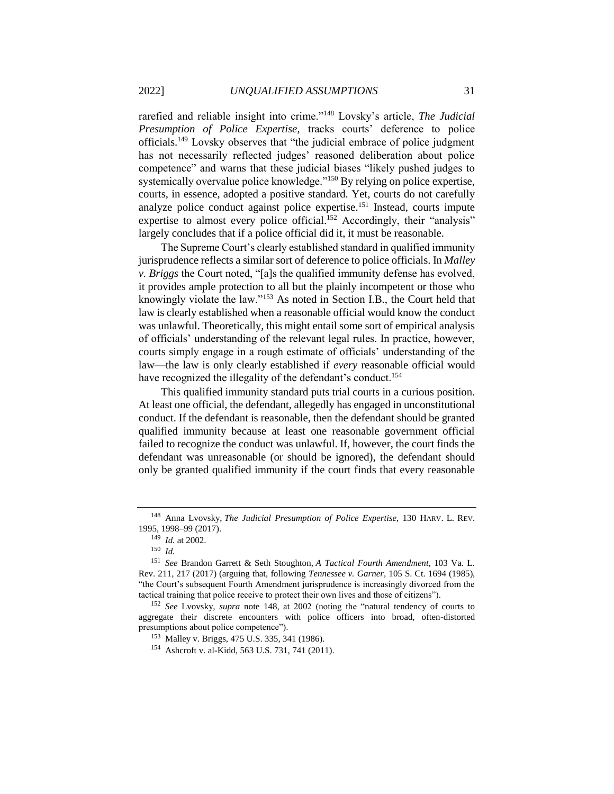rarefied and reliable insight into crime."<sup>148</sup> Lovsky's article, *The Judicial Presumption of Police Expertise*, tracks courts' deference to police officials.<sup>149</sup> Lovsky observes that "the judicial embrace of police judgment has not necessarily reflected judges' reasoned deliberation about police competence" and warns that these judicial biases "likely pushed judges to systemically overvalue police knowledge."<sup>150</sup> By relying on police expertise, courts, in essence, adopted a positive standard. Yet, courts do not carefully analyze police conduct against police expertise.<sup>151</sup> Instead, courts impute expertise to almost every police official.<sup>152</sup> Accordingly, their "analysis" largely concludes that if a police official did it, it must be reasonable.

The Supreme Court's clearly established standard in qualified immunity jurisprudence reflects a similar sort of deference to police officials. In *Malley v. Briggs* the Court noted, "[a]s the qualified immunity defense has evolved, it provides ample protection to all but the plainly incompetent or those who knowingly violate the law."<sup>153</sup> As noted in Section I.B., the Court held that law is clearly established when a reasonable official would know the conduct was unlawful. Theoretically, this might entail some sort of empirical analysis of officials' understanding of the relevant legal rules. In practice, however, courts simply engage in a rough estimate of officials' understanding of the law—the law is only clearly established if *every* reasonable official would have recognized the illegality of the defendant's conduct.<sup>154</sup>

This qualified immunity standard puts trial courts in a curious position. At least one official, the defendant, allegedly has engaged in unconstitutional conduct. If the defendant is reasonable, then the defendant should be granted qualified immunity because at least one reasonable government official failed to recognize the conduct was unlawful. If, however, the court finds the defendant was unreasonable (or should be ignored), the defendant should only be granted qualified immunity if the court finds that every reasonable

<sup>148</sup> Anna Lvovsky, *The Judicial Presumption of Police Expertise*, 130 HARV. L. REV. 1995, 1998–99 (2017).

<sup>149</sup> *Id.* at 2002.

<sup>150</sup> *Id.*

<sup>151</sup> *See* Brandon Garrett & Seth Stoughton, *A Tactical Fourth Amendment*, 103 Va. L. Rev. 211, 217 (2017) (arguing that, following *Tennessee v. Garner*, 105 S. Ct. 1694 (1985), "the Court's subsequent Fourth Amendment jurisprudence is increasingly divorced from the tactical training that police receive to protect their own lives and those of citizens").

<sup>152</sup> *See* Lvovsky, *supra* note 148, at 2002 (noting the "natural tendency of courts to aggregate their discrete encounters with police officers into broad, often-distorted presumptions about police competence").

<sup>153</sup> Malley v. Briggs, 475 U.S. 335, 341 (1986).

<sup>154</sup> Ashcroft v. al-Kidd, 563 U.S. 731, 741 (2011).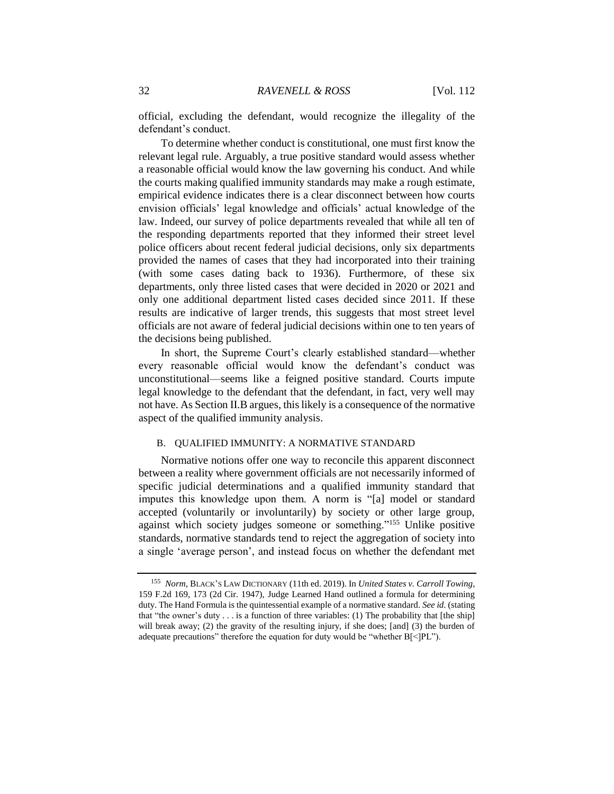official, excluding the defendant, would recognize the illegality of the defendant's conduct.

To determine whether conduct is constitutional, one must first know the relevant legal rule. Arguably, a true positive standard would assess whether a reasonable official would know the law governing his conduct. And while the courts making qualified immunity standards may make a rough estimate, empirical evidence indicates there is a clear disconnect between how courts envision officials' legal knowledge and officials' actual knowledge of the law. Indeed, our survey of police departments revealed that while all ten of the responding departments reported that they informed their street level police officers about recent federal judicial decisions, only six departments provided the names of cases that they had incorporated into their training (with some cases dating back to 1936). Furthermore, of these six departments, only three listed cases that were decided in 2020 or 2021 and only one additional department listed cases decided since 2011. If these results are indicative of larger trends, this suggests that most street level officials are not aware of federal judicial decisions within one to ten years of the decisions being published.

In short, the Supreme Court's clearly established standard—whether every reasonable official would know the defendant's conduct was unconstitutional—seems like a feigned positive standard. Courts impute legal knowledge to the defendant that the defendant, in fact, very well may not have. As Section II.B argues, this likely is a consequence of the normative aspect of the qualified immunity analysis.

#### B. QUALIFIED IMMUNITY: A NORMATIVE STANDARD

Normative notions offer one way to reconcile this apparent disconnect between a reality where government officials are not necessarily informed of specific judicial determinations and a qualified immunity standard that imputes this knowledge upon them. A norm is "[a] model or standard accepted (voluntarily or involuntarily) by society or other large group, against which society judges someone or something."<sup>155</sup> Unlike positive standards, normative standards tend to reject the aggregation of society into a single 'average person', and instead focus on whether the defendant met

<sup>155</sup> *Norm*, BLACK'S LAW DICTIONARY (11th ed. 2019). In *United States v. Carroll Towing*, 159 F.2d 169, 173 (2d Cir. 1947), Judge Learned Hand outlined a formula for determining duty. The Hand Formula is the quintessential example of a normative standard. *See id.* (stating that "the owner's duty . . . is a function of three variables: (1) The probability that [the ship] will break away; (2) the gravity of the resulting injury, if she does; [and] (3) the burden of adequate precautions" therefore the equation for duty would be "whether B[<]PL").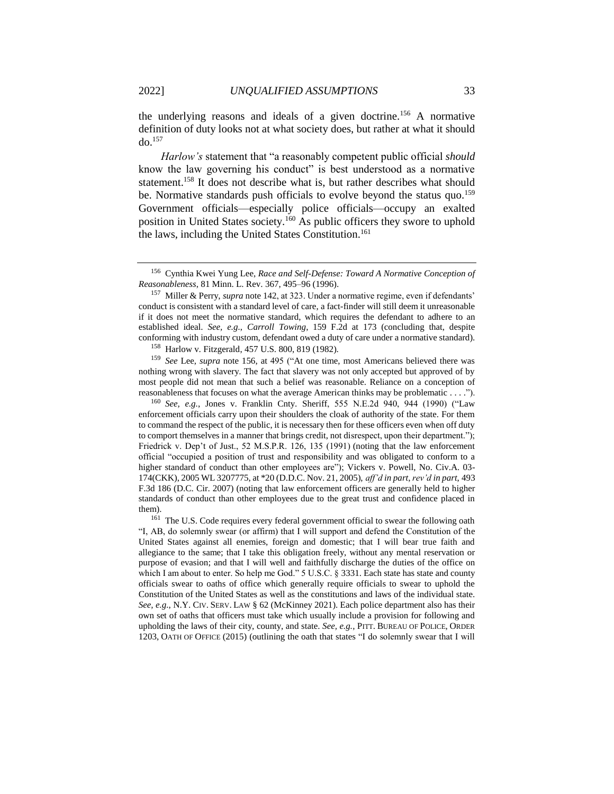the underlying reasons and ideals of a given doctrine.<sup>156</sup> A normative definition of duty looks not at what society does, but rather at what it should  $d\Omega$ <sup>157</sup>

*Harlow's* statement that "a reasonably competent public official *should* know the law governing his conduct" is best understood as a normative statement.<sup>158</sup> It does not describe what is, but rather describes what should be. Normative standards push officials to evolve beyond the status quo.<sup>159</sup> Government officials—especially police officials—occupy an exalted position in United States society.<sup>160</sup> As public officers they swore to uphold the laws, including the United States Constitution.<sup>161</sup>

<sup>157</sup> Miller & Perry, *supra* note 142, at 323. Under a normative regime, even if defendants' conduct is consistent with a standard level of care, a fact-finder will still deem it unreasonable if it does not meet the normative standard, which requires the defendant to adhere to an established ideal. *See, e.g.*, *Carroll Towing*, 159 F.2d at 173 (concluding that, despite conforming with industry custom, defendant owed a duty of care under a normative standard).

<sup>158</sup> Harlow v. Fitzgerald, 457 U.S. 800, 819 (1982).

<sup>159</sup> *See* Lee, *supra* note 156, at 495 ("At one time, most Americans believed there was nothing wrong with slavery. The fact that slavery was not only accepted but approved of by most people did not mean that such a belief was reasonable. Reliance on a conception of reasonableness that focuses on what the average American thinks may be problematic . . . .").

<sup>160</sup> *See, e.g.*, Jones v. Franklin Cnty. Sheriff, 555 N.E.2d 940, 944 (1990) ("Law enforcement officials carry upon their shoulders the cloak of authority of the state. For them to command the respect of the public, it is necessary then for these officers even when off duty to comport themselves in a manner that brings credit, not disrespect, upon their department."); Friedrick v. Dep't of Just., 52 M.S.P.R. 126, 135 (1991) (noting that the law enforcement official "occupied a position of trust and responsibility and was obligated to conform to a higher standard of conduct than other employees are"); Vickers v. Powell, No. Civ.A. 03-174(CKK), 2005 WL 3207775, at \*20 (D.D.C. Nov. 21, 2005), *aff'd in part*, *rev'd in part*, 493 F.3d 186 (D.C. Cir. 2007) (noting that law enforcement officers are generally held to higher standards of conduct than other employees due to the great trust and confidence placed in them).

<sup>161</sup> The U.S. Code requires every federal government official to swear the following oath "I, AB, do solemnly swear (or affirm) that I will support and defend the Constitution of the United States against all enemies, foreign and domestic; that I will bear true faith and allegiance to the same; that I take this obligation freely, without any mental reservation or purpose of evasion; and that I will well and faithfully discharge the duties of the office on which I am about to enter. So help me God." 5 U.S.C. § 3331. Each state has state and county officials swear to oaths of office which generally require officials to swear to uphold the Constitution of the United States as well as the constitutions and laws of the individual state. *See, e.g.*, N.Y. CIV. SERV. LAW § 62 (McKinney 2021). Each police department also has their own set of oaths that officers must take which usually include a provision for following and upholding the laws of their city, county, and state. *See, e.g.*, PITT. BUREAU OF POLICE, ORDER 1203, OATH OF OFFICE (2015) (outlining the oath that states "I do solemnly swear that I will

<sup>156</sup> Cynthia Kwei Yung Lee, *Race and Self-Defense: Toward A Normative Conception of Reasonableness*, 81 Minn. L. Rev. 367, 495–96 (1996).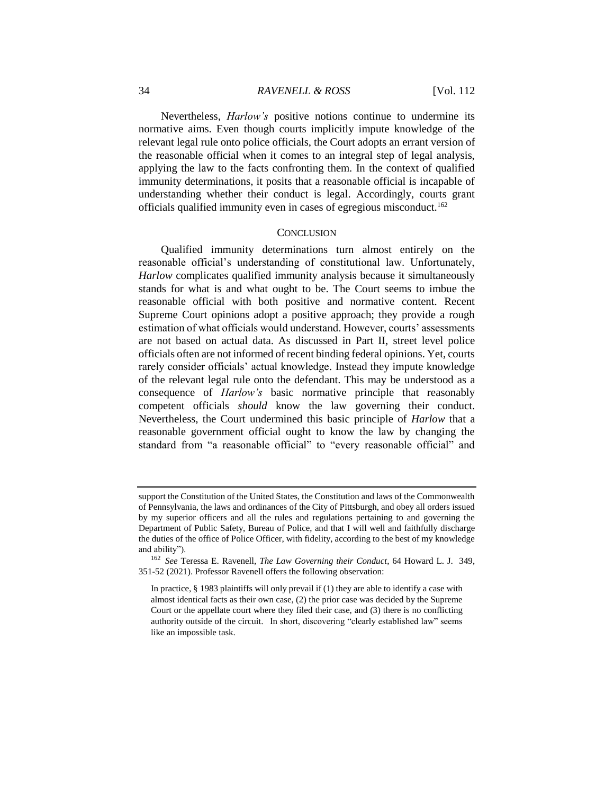Nevertheless, *Harlow's* positive notions continue to undermine its normative aims. Even though courts implicitly impute knowledge of the relevant legal rule onto police officials, the Court adopts an errant version of the reasonable official when it comes to an integral step of legal analysis, applying the law to the facts confronting them. In the context of qualified immunity determinations, it posits that a reasonable official is incapable of understanding whether their conduct is legal. Accordingly, courts grant officials qualified immunity even in cases of egregious misconduct.<sup>162</sup>

### **CONCLUSION**

Qualified immunity determinations turn almost entirely on the reasonable official's understanding of constitutional law. Unfortunately, *Harlow* complicates qualified immunity analysis because it simultaneously stands for what is and what ought to be. The Court seems to imbue the reasonable official with both positive and normative content. Recent Supreme Court opinions adopt a positive approach; they provide a rough estimation of what officials would understand. However, courts' assessments are not based on actual data. As discussed in Part II, street level police officials often are not informed of recent binding federal opinions. Yet, courts rarely consider officials' actual knowledge. Instead they impute knowledge of the relevant legal rule onto the defendant. This may be understood as a consequence of *Harlow's* basic normative principle that reasonably competent officials *should* know the law governing their conduct. Nevertheless, the Court undermined this basic principle of *Harlow* that a reasonable government official ought to know the law by changing the standard from "a reasonable official" to "every reasonable official" and

support the Constitution of the United States, the Constitution and laws of the Commonwealth of Pennsylvania, the laws and ordinances of the City of Pittsburgh, and obey all orders issued by my superior officers and all the rules and regulations pertaining to and governing the Department of Public Safety, Bureau of Police, and that I will well and faithfully discharge the duties of the office of Police Officer, with fidelity, according to the best of my knowledge and ability").

<sup>162</sup> *See* Teressa E. Ravenell, *The Law Governing their Conduct*, 64 Howard L. J. 349, 351-52 (2021). Professor Ravenell offers the following observation:

In practice, § 1983 plaintiffs will only prevail if (1) they are able to identify a case with almost identical facts as their own case, (2) the prior case was decided by the Supreme Court or the appellate court where they filed their case, and (3) there is no conflicting authority outside of the circuit. In short, discovering "clearly established law" seems like an impossible task.